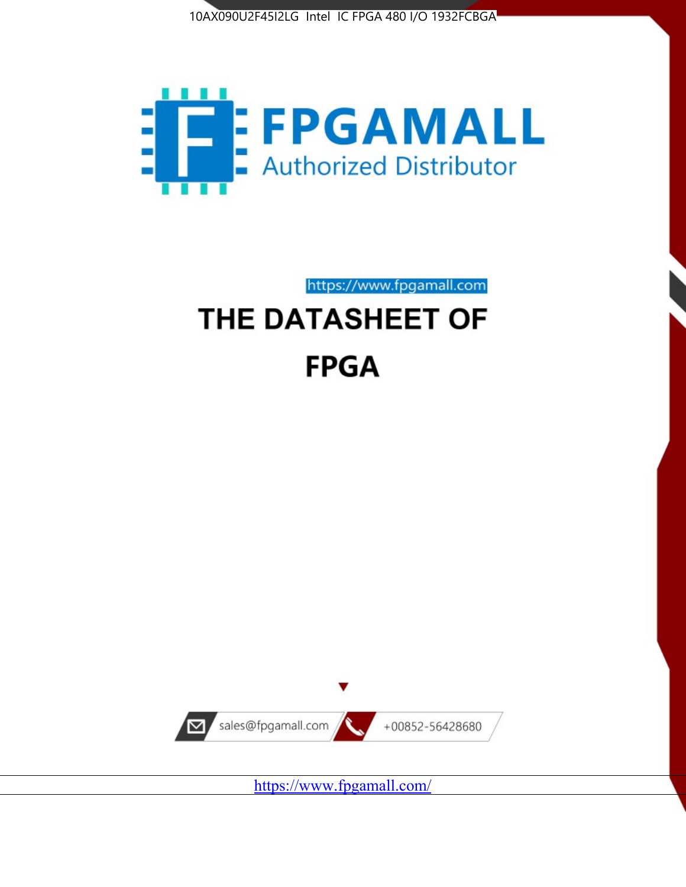



https://www.fpgamall.com

# THE DATASHEET OF **FPGA**



<https://www.fpgamall.com/>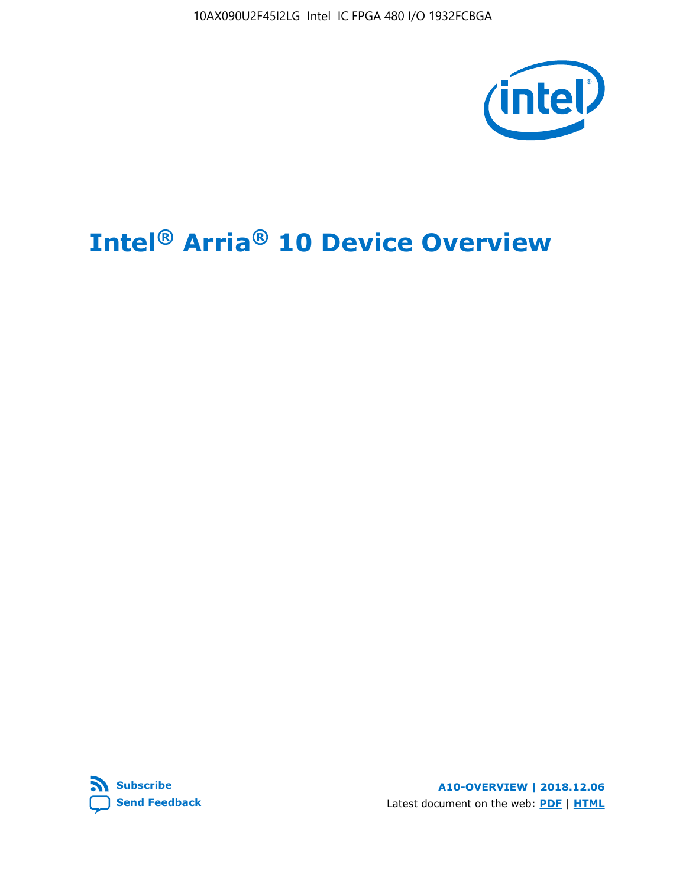10AX090U2F45I2LG Intel IC FPGA 480 I/O 1932FCBGA



# **Intel® Arria® 10 Device Overview**



**A10-OVERVIEW | 2018.12.06** Latest document on the web: **[PDF](https://www.intel.com/content/dam/www/programmable/us/en/pdfs/literature/hb/arria-10/a10_overview.pdf)** | **[HTML](https://www.intel.com/content/www/us/en/programmable/documentation/sam1403480274650.html)**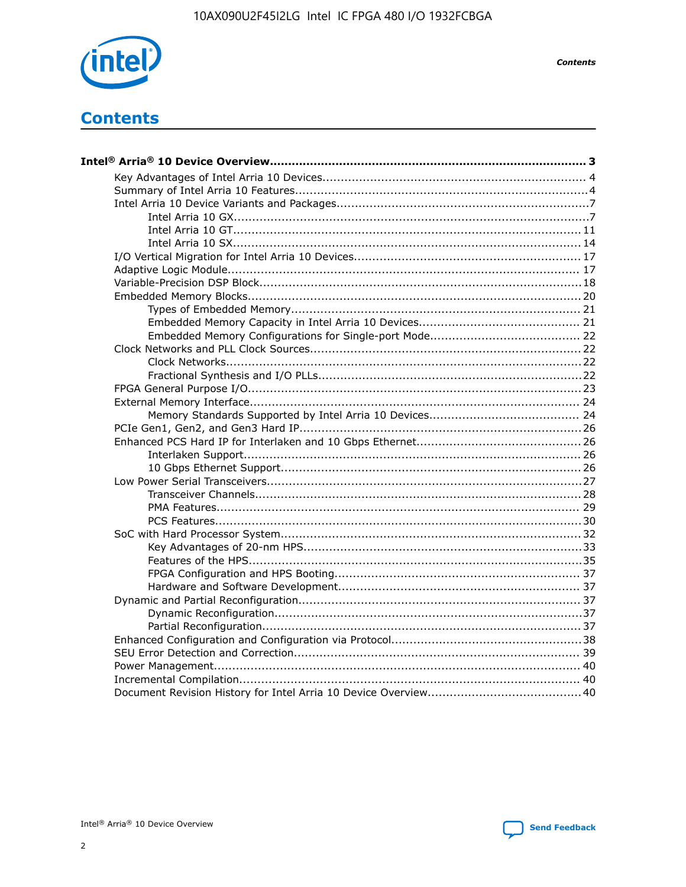

**Contents** 

# **Contents**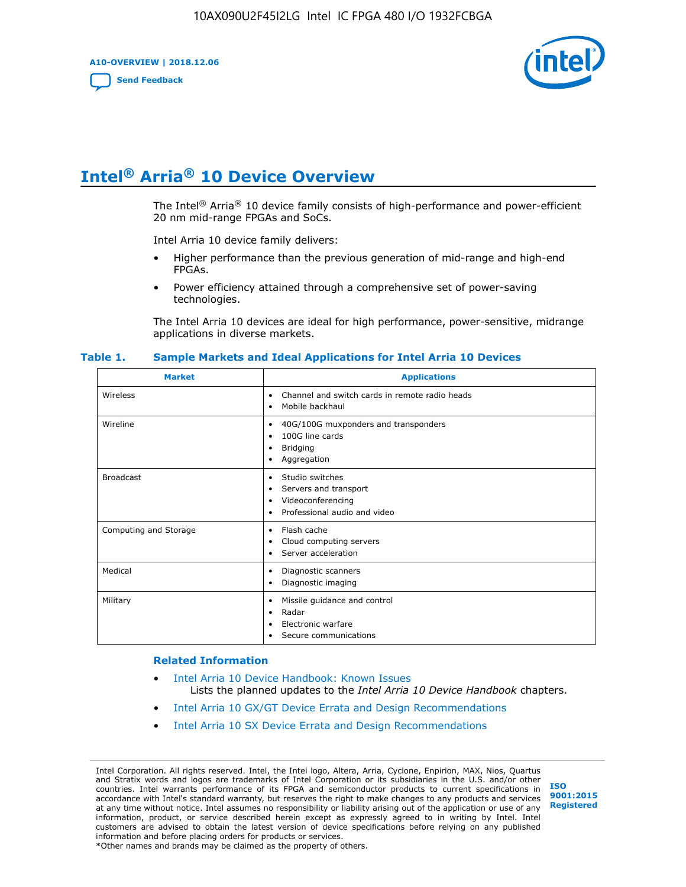**A10-OVERVIEW | 2018.12.06**

**[Send Feedback](mailto:FPGAtechdocfeedback@intel.com?subject=Feedback%20on%20Intel%20Arria%2010%20Device%20Overview%20(A10-OVERVIEW%202018.12.06)&body=We%20appreciate%20your%20feedback.%20In%20your%20comments,%20also%20specify%20the%20page%20number%20or%20paragraph.%20Thank%20you.)**



# **Intel® Arria® 10 Device Overview**

The Intel<sup>®</sup> Arria<sup>®</sup> 10 device family consists of high-performance and power-efficient 20 nm mid-range FPGAs and SoCs.

Intel Arria 10 device family delivers:

- Higher performance than the previous generation of mid-range and high-end FPGAs.
- Power efficiency attained through a comprehensive set of power-saving technologies.

The Intel Arria 10 devices are ideal for high performance, power-sensitive, midrange applications in diverse markets.

| <b>Market</b>         | <b>Applications</b>                                                                                               |
|-----------------------|-------------------------------------------------------------------------------------------------------------------|
| Wireless              | Channel and switch cards in remote radio heads<br>٠<br>Mobile backhaul<br>٠                                       |
| Wireline              | 40G/100G muxponders and transponders<br>٠<br>100G line cards<br>٠<br><b>Bridging</b><br>٠<br>Aggregation<br>٠     |
| <b>Broadcast</b>      | Studio switches<br>٠<br>Servers and transport<br>٠<br>Videoconferencing<br>٠<br>Professional audio and video<br>٠ |
| Computing and Storage | Flash cache<br>٠<br>Cloud computing servers<br>٠<br>Server acceleration<br>٠                                      |
| Medical               | Diagnostic scanners<br>٠<br>Diagnostic imaging<br>٠                                                               |
| Military              | Missile guidance and control<br>٠<br>Radar<br>٠<br>Electronic warfare<br>٠<br>Secure communications<br>٠          |

#### **Table 1. Sample Markets and Ideal Applications for Intel Arria 10 Devices**

#### **Related Information**

- [Intel Arria 10 Device Handbook: Known Issues](http://www.altera.com/support/kdb/solutions/rd07302013_646.html) Lists the planned updates to the *Intel Arria 10 Device Handbook* chapters.
- [Intel Arria 10 GX/GT Device Errata and Design Recommendations](https://www.intel.com/content/www/us/en/programmable/documentation/agz1493851706374.html#yqz1494433888646)
- [Intel Arria 10 SX Device Errata and Design Recommendations](https://www.intel.com/content/www/us/en/programmable/documentation/cru1462832385668.html#cru1462832558642)

Intel Corporation. All rights reserved. Intel, the Intel logo, Altera, Arria, Cyclone, Enpirion, MAX, Nios, Quartus and Stratix words and logos are trademarks of Intel Corporation or its subsidiaries in the U.S. and/or other countries. Intel warrants performance of its FPGA and semiconductor products to current specifications in accordance with Intel's standard warranty, but reserves the right to make changes to any products and services at any time without notice. Intel assumes no responsibility or liability arising out of the application or use of any information, product, or service described herein except as expressly agreed to in writing by Intel. Intel customers are advised to obtain the latest version of device specifications before relying on any published information and before placing orders for products or services. \*Other names and brands may be claimed as the property of others.

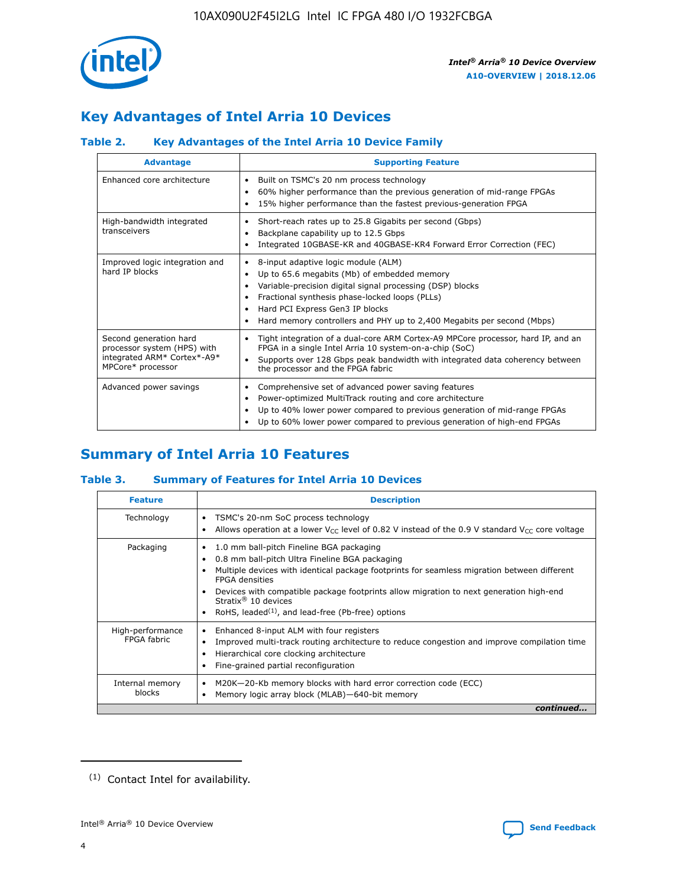

# **Key Advantages of Intel Arria 10 Devices**

## **Table 2. Key Advantages of the Intel Arria 10 Device Family**

| <b>Advantage</b>                                                                                          | <b>Supporting Feature</b>                                                                                                                                                                                                                                                                                                |  |  |  |  |  |
|-----------------------------------------------------------------------------------------------------------|--------------------------------------------------------------------------------------------------------------------------------------------------------------------------------------------------------------------------------------------------------------------------------------------------------------------------|--|--|--|--|--|
| Enhanced core architecture                                                                                | Built on TSMC's 20 nm process technology<br>٠<br>60% higher performance than the previous generation of mid-range FPGAs<br>٠<br>15% higher performance than the fastest previous-generation FPGA<br>٠                                                                                                                    |  |  |  |  |  |
| High-bandwidth integrated<br>transceivers                                                                 | Short-reach rates up to 25.8 Gigabits per second (Gbps)<br>٠<br>Backplane capability up to 12.5 Gbps<br>٠<br>Integrated 10GBASE-KR and 40GBASE-KR4 Forward Error Correction (FEC)<br>٠                                                                                                                                   |  |  |  |  |  |
| Improved logic integration and<br>hard IP blocks                                                          | 8-input adaptive logic module (ALM)<br>٠<br>Up to 65.6 megabits (Mb) of embedded memory<br>٠<br>Variable-precision digital signal processing (DSP) blocks<br>Fractional synthesis phase-locked loops (PLLs)<br>Hard PCI Express Gen3 IP blocks<br>Hard memory controllers and PHY up to 2,400 Megabits per second (Mbps) |  |  |  |  |  |
| Second generation hard<br>processor system (HPS) with<br>integrated ARM* Cortex*-A9*<br>MPCore* processor | Tight integration of a dual-core ARM Cortex-A9 MPCore processor, hard IP, and an<br>٠<br>FPGA in a single Intel Arria 10 system-on-a-chip (SoC)<br>Supports over 128 Gbps peak bandwidth with integrated data coherency between<br>$\bullet$<br>the processor and the FPGA fabric                                        |  |  |  |  |  |
| Advanced power savings                                                                                    | Comprehensive set of advanced power saving features<br>٠<br>Power-optimized MultiTrack routing and core architecture<br>٠<br>Up to 40% lower power compared to previous generation of mid-range FPGAs<br>Up to 60% lower power compared to previous generation of high-end FPGAs                                         |  |  |  |  |  |

## **Summary of Intel Arria 10 Features**

## **Table 3. Summary of Features for Intel Arria 10 Devices**

| <b>Feature</b>                  | <b>Description</b>                                                                                                                                                                                                                                                                                                                                                                                       |
|---------------------------------|----------------------------------------------------------------------------------------------------------------------------------------------------------------------------------------------------------------------------------------------------------------------------------------------------------------------------------------------------------------------------------------------------------|
| Technology                      | TSMC's 20-nm SoC process technology<br>٠<br>Allows operation at a lower $V_{\text{CC}}$ level of 0.82 V instead of the 0.9 V standard $V_{\text{CC}}$ core voltage                                                                                                                                                                                                                                       |
| Packaging                       | 1.0 mm ball-pitch Fineline BGA packaging<br>0.8 mm ball-pitch Ultra Fineline BGA packaging<br>Multiple devices with identical package footprints for seamless migration between different<br><b>FPGA</b> densities<br>Devices with compatible package footprints allow migration to next generation high-end<br>Stratix $\mathcal{R}$ 10 devices<br>RoHS, leaded $(1)$ , and lead-free (Pb-free) options |
| High-performance<br>FPGA fabric | Enhanced 8-input ALM with four registers<br>٠<br>Improved multi-track routing architecture to reduce congestion and improve compilation time<br>Hierarchical core clocking architecture<br>Fine-grained partial reconfiguration                                                                                                                                                                          |
| Internal memory<br>blocks       | M20K-20-Kb memory blocks with hard error correction code (ECC)<br>Memory logic array block (MLAB)-640-bit memory                                                                                                                                                                                                                                                                                         |
|                                 | continued                                                                                                                                                                                                                                                                                                                                                                                                |



<sup>(1)</sup> Contact Intel for availability.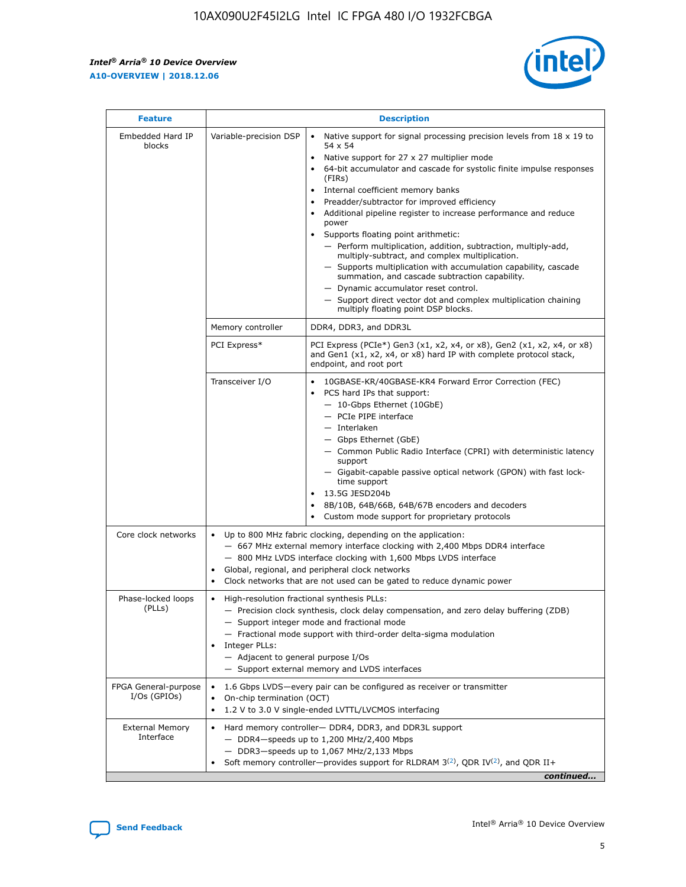r



| <b>Feature</b>                         | <b>Description</b>                                                                                             |                                                                                                                                                                                                                                                                                                                                                                                                                                                                                                                                                                                                                                                                                                                                                                                                                                        |  |  |  |  |  |
|----------------------------------------|----------------------------------------------------------------------------------------------------------------|----------------------------------------------------------------------------------------------------------------------------------------------------------------------------------------------------------------------------------------------------------------------------------------------------------------------------------------------------------------------------------------------------------------------------------------------------------------------------------------------------------------------------------------------------------------------------------------------------------------------------------------------------------------------------------------------------------------------------------------------------------------------------------------------------------------------------------------|--|--|--|--|--|
| Embedded Hard IP<br>blocks             | Variable-precision DSP                                                                                         | Native support for signal processing precision levels from $18 \times 19$ to<br>54 x 54<br>Native support for 27 x 27 multiplier mode<br>64-bit accumulator and cascade for systolic finite impulse responses<br>(FIRs)<br>Internal coefficient memory banks<br>$\bullet$<br>Preadder/subtractor for improved efficiency<br>Additional pipeline register to increase performance and reduce<br>power<br>Supports floating point arithmetic:<br>- Perform multiplication, addition, subtraction, multiply-add,<br>multiply-subtract, and complex multiplication.<br>- Supports multiplication with accumulation capability, cascade<br>summation, and cascade subtraction capability.<br>- Dynamic accumulator reset control.<br>- Support direct vector dot and complex multiplication chaining<br>multiply floating point DSP blocks. |  |  |  |  |  |
|                                        | Memory controller                                                                                              | DDR4, DDR3, and DDR3L                                                                                                                                                                                                                                                                                                                                                                                                                                                                                                                                                                                                                                                                                                                                                                                                                  |  |  |  |  |  |
|                                        | PCI Express*                                                                                                   | PCI Express (PCIe*) Gen3 (x1, x2, x4, or x8), Gen2 (x1, x2, x4, or x8)<br>and Gen1 (x1, x2, x4, or x8) hard IP with complete protocol stack,<br>endpoint, and root port                                                                                                                                                                                                                                                                                                                                                                                                                                                                                                                                                                                                                                                                |  |  |  |  |  |
|                                        | Transceiver I/O                                                                                                | 10GBASE-KR/40GBASE-KR4 Forward Error Correction (FEC)<br>PCS hard IPs that support:<br>$\bullet$<br>- 10-Gbps Ethernet (10GbE)<br>- PCIe PIPE interface<br>$-$ Interlaken<br>- Gbps Ethernet (GbE)<br>- Common Public Radio Interface (CPRI) with deterministic latency<br>support<br>- Gigabit-capable passive optical network (GPON) with fast lock-<br>time support<br>13.5G JESD204b<br>$\bullet$<br>8B/10B, 64B/66B, 64B/67B encoders and decoders<br>Custom mode support for proprietary protocols                                                                                                                                                                                                                                                                                                                               |  |  |  |  |  |
| Core clock networks                    | $\bullet$<br>$\bullet$                                                                                         | Up to 800 MHz fabric clocking, depending on the application:<br>- 667 MHz external memory interface clocking with 2,400 Mbps DDR4 interface<br>- 800 MHz LVDS interface clocking with 1,600 Mbps LVDS interface<br>Global, regional, and peripheral clock networks<br>Clock networks that are not used can be gated to reduce dynamic power                                                                                                                                                                                                                                                                                                                                                                                                                                                                                            |  |  |  |  |  |
| Phase-locked loops<br>(PLLs)           | High-resolution fractional synthesis PLLs:<br>$\bullet$<br>Integer PLLs:<br>- Adjacent to general purpose I/Os | - Precision clock synthesis, clock delay compensation, and zero delay buffering (ZDB)<br>- Support integer mode and fractional mode<br>- Fractional mode support with third-order delta-sigma modulation<br>- Support external memory and LVDS interfaces                                                                                                                                                                                                                                                                                                                                                                                                                                                                                                                                                                              |  |  |  |  |  |
| FPGA General-purpose<br>$I/Os$ (GPIOs) | On-chip termination (OCT)                                                                                      | 1.6 Gbps LVDS-every pair can be configured as receiver or transmitter<br>1.2 V to 3.0 V single-ended LVTTL/LVCMOS interfacing                                                                                                                                                                                                                                                                                                                                                                                                                                                                                                                                                                                                                                                                                                          |  |  |  |  |  |
| <b>External Memory</b><br>Interface    |                                                                                                                | Hard memory controller- DDR4, DDR3, and DDR3L support<br>$-$ DDR4 $-$ speeds up to 1,200 MHz/2,400 Mbps<br>- DDR3-speeds up to 1,067 MHz/2,133 Mbps<br>Soft memory controller—provides support for RLDRAM $3^{(2)}$ , QDR IV $^{(2)}$ , and QDR II+<br>continued                                                                                                                                                                                                                                                                                                                                                                                                                                                                                                                                                                       |  |  |  |  |  |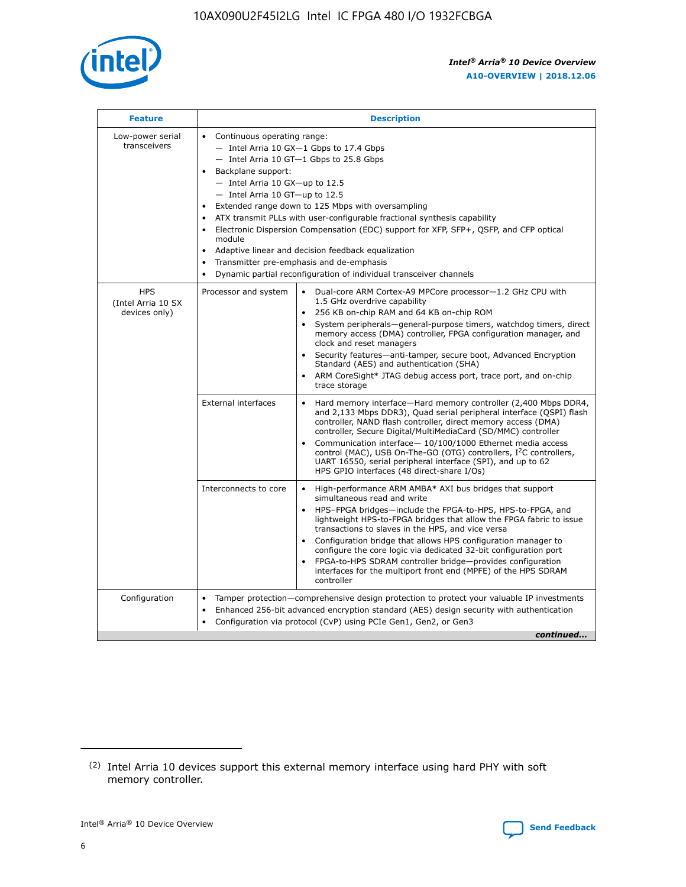

| <b>Feature</b>                                    | <b>Description</b>                                                                                                                                                                                                                                                                                                                                                                                                                                                                                                                                                                                                                                      |
|---------------------------------------------------|---------------------------------------------------------------------------------------------------------------------------------------------------------------------------------------------------------------------------------------------------------------------------------------------------------------------------------------------------------------------------------------------------------------------------------------------------------------------------------------------------------------------------------------------------------------------------------------------------------------------------------------------------------|
| Low-power serial<br>transceivers                  | • Continuous operating range:<br>- Intel Arria 10 GX-1 Gbps to 17.4 Gbps<br>- Intel Arria 10 GT-1 Gbps to 25.8 Gbps<br>Backplane support:<br>$-$ Intel Arria 10 GX-up to 12.5<br>- Intel Arria 10 GT-up to 12.5<br>Extended range down to 125 Mbps with oversampling<br>ATX transmit PLLs with user-configurable fractional synthesis capability<br>• Electronic Dispersion Compensation (EDC) support for XFP, SFP+, QSFP, and CFP optical<br>module<br>Adaptive linear and decision feedback equalization<br>$\bullet$<br>Transmitter pre-emphasis and de-emphasis<br>$\bullet$<br>Dynamic partial reconfiguration of individual transceiver channels |
| <b>HPS</b><br>(Intel Arria 10 SX<br>devices only) | Processor and system<br>Dual-core ARM Cortex-A9 MPCore processor-1.2 GHz CPU with<br>$\bullet$<br>1.5 GHz overdrive capability<br>• 256 KB on-chip RAM and 64 KB on-chip ROM<br>System peripherals-general-purpose timers, watchdog timers, direct<br>memory access (DMA) controller, FPGA configuration manager, and<br>clock and reset managers<br>• Security features—anti-tamper, secure boot, Advanced Encryption<br>Standard (AES) and authentication (SHA)<br>ARM CoreSight* JTAG debug access port, trace port, and on-chip<br>trace storage                                                                                                    |
|                                                   | <b>External interfaces</b><br>Hard memory interface—Hard memory controller (2,400 Mbps DDR4,<br>$\bullet$<br>and 2,133 Mbps DDR3), Quad serial peripheral interface (QSPI) flash<br>controller, NAND flash controller, direct memory access (DMA)<br>controller, Secure Digital/MultiMediaCard (SD/MMC) controller<br>Communication interface-10/100/1000 Ethernet media access<br>control (MAC), USB On-The-GO (OTG) controllers, I <sup>2</sup> C controllers,<br>UART 16550, serial peripheral interface (SPI), and up to 62<br>HPS GPIO interfaces (48 direct-share I/Os)                                                                           |
|                                                   | High-performance ARM AMBA* AXI bus bridges that support<br>Interconnects to core<br>$\bullet$<br>simultaneous read and write<br>HPS-FPGA bridges—include the FPGA-to-HPS, HPS-to-FPGA, and<br>lightweight HPS-to-FPGA bridges that allow the FPGA fabric to issue<br>transactions to slaves in the HPS, and vice versa<br>Configuration bridge that allows HPS configuration manager to<br>configure the core logic via dedicated 32-bit configuration port<br>FPGA-to-HPS SDRAM controller bridge-provides configuration<br>interfaces for the multiport front end (MPFE) of the HPS SDRAM<br>controller                                               |
| Configuration                                     | Tamper protection—comprehensive design protection to protect your valuable IP investments<br>Enhanced 256-bit advanced encryption standard (AES) design security with authentication<br>٠<br>Configuration via protocol (CvP) using PCIe Gen1, Gen2, or Gen3<br>continued                                                                                                                                                                                                                                                                                                                                                                               |

<sup>(2)</sup> Intel Arria 10 devices support this external memory interface using hard PHY with soft memory controller.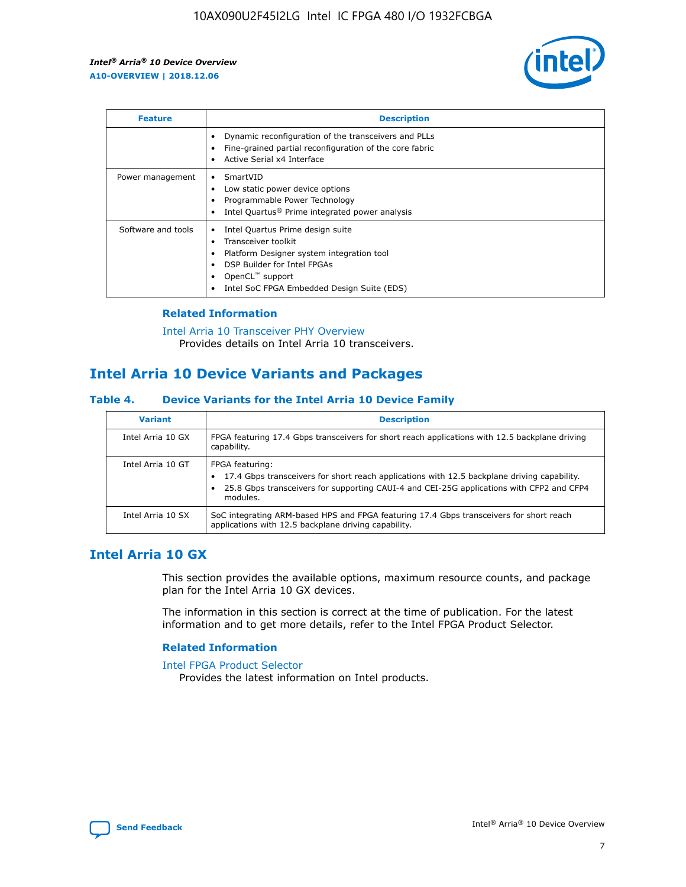

| <b>Feature</b>     | <b>Description</b>                                                                                                                                                                                                    |
|--------------------|-----------------------------------------------------------------------------------------------------------------------------------------------------------------------------------------------------------------------|
|                    | Dynamic reconfiguration of the transceivers and PLLs<br>Fine-grained partial reconfiguration of the core fabric<br>Active Serial x4 Interface                                                                         |
| Power management   | SmartVID<br>Low static power device options<br>Programmable Power Technology<br>Intel Quartus <sup>®</sup> Prime integrated power analysis                                                                            |
| Software and tools | Intel Quartus Prime design suite<br>Transceiver toolkit<br>٠<br>Platform Designer system integration tool<br>DSP Builder for Intel FPGAs<br>OpenCL <sup>™</sup> support<br>Intel SoC FPGA Embedded Design Suite (EDS) |

## **Related Information**

[Intel Arria 10 Transceiver PHY Overview](https://www.intel.com/content/www/us/en/programmable/documentation/nik1398707230472.html#nik1398706768037) Provides details on Intel Arria 10 transceivers.

## **Intel Arria 10 Device Variants and Packages**

#### **Table 4. Device Variants for the Intel Arria 10 Device Family**

| <b>Variant</b>    | <b>Description</b>                                                                                                                                                                                                     |
|-------------------|------------------------------------------------------------------------------------------------------------------------------------------------------------------------------------------------------------------------|
| Intel Arria 10 GX | FPGA featuring 17.4 Gbps transceivers for short reach applications with 12.5 backplane driving<br>capability.                                                                                                          |
| Intel Arria 10 GT | FPGA featuring:<br>17.4 Gbps transceivers for short reach applications with 12.5 backplane driving capability.<br>25.8 Gbps transceivers for supporting CAUI-4 and CEI-25G applications with CFP2 and CFP4<br>modules. |
| Intel Arria 10 SX | SoC integrating ARM-based HPS and FPGA featuring 17.4 Gbps transceivers for short reach<br>applications with 12.5 backplane driving capability.                                                                        |

## **Intel Arria 10 GX**

This section provides the available options, maximum resource counts, and package plan for the Intel Arria 10 GX devices.

The information in this section is correct at the time of publication. For the latest information and to get more details, refer to the Intel FPGA Product Selector.

#### **Related Information**

#### [Intel FPGA Product Selector](http://www.altera.com/products/selector/psg-selector.html) Provides the latest information on Intel products.

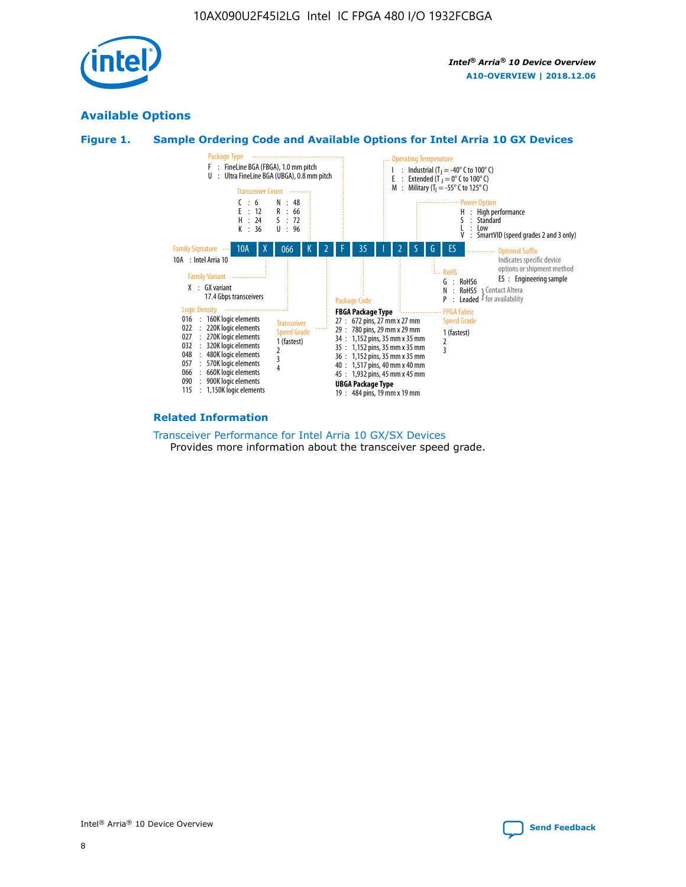

## **Available Options**





#### **Related Information**

[Transceiver Performance for Intel Arria 10 GX/SX Devices](https://www.intel.com/content/www/us/en/programmable/documentation/mcn1413182292568.html#mcn1413213965502) Provides more information about the transceiver speed grade.

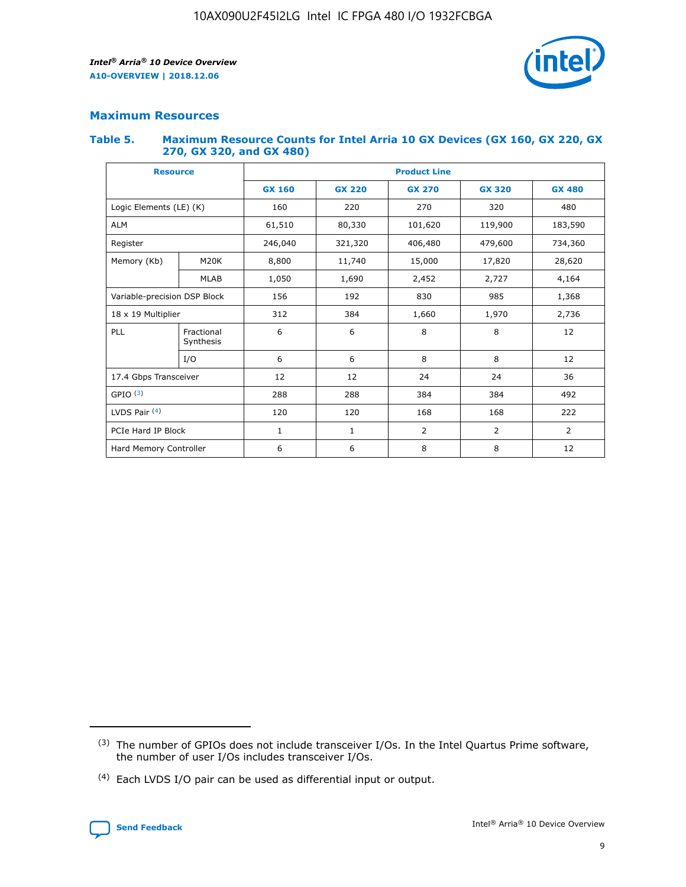

## **Maximum Resources**

#### **Table 5. Maximum Resource Counts for Intel Arria 10 GX Devices (GX 160, GX 220, GX 270, GX 320, and GX 480)**

| <b>Resource</b>              |                         | <b>Product Line</b> |                   |                    |                |                |  |  |  |
|------------------------------|-------------------------|---------------------|-------------------|--------------------|----------------|----------------|--|--|--|
|                              |                         | <b>GX 160</b>       | <b>GX 220</b>     | <b>GX 270</b>      | <b>GX 320</b>  | <b>GX 480</b>  |  |  |  |
| Logic Elements (LE) (K)      |                         | 160                 | 220               | 270                | 320            | 480            |  |  |  |
| <b>ALM</b>                   |                         | 61,510              | 80,330            | 101,620            | 119,900        | 183,590        |  |  |  |
| Register                     |                         | 246,040             | 321,320           | 406,480<br>479,600 |                | 734,360        |  |  |  |
| Memory (Kb)                  | M <sub>20</sub> K       | 8,800               | 11,740<br>15,000  |                    | 17,820         | 28,620         |  |  |  |
| <b>MLAB</b>                  |                         | 1,050               | 1,690             | 2,452              | 2,727          | 4,164          |  |  |  |
| Variable-precision DSP Block |                         | 156                 | 192<br>830<br>985 |                    |                | 1,368          |  |  |  |
| 18 x 19 Multiplier           |                         | 312                 | 384               | 1,970<br>1,660     |                | 2,736          |  |  |  |
| PLL                          | Fractional<br>Synthesis | 6                   | 6                 | 8                  | 8              | 12             |  |  |  |
|                              | I/O                     | 6                   | 6                 | 8                  | 8              | 12             |  |  |  |
| 17.4 Gbps Transceiver        |                         | 12                  | 12                | 24                 | 24             | 36             |  |  |  |
| GPIO <sup>(3)</sup>          |                         | 288                 | 288               | 384<br>384         |                | 492            |  |  |  |
| LVDS Pair $(4)$              |                         | 120                 | 120               | 168                | 168            | 222            |  |  |  |
| PCIe Hard IP Block           |                         | 1                   | 1                 | 2                  | $\overline{2}$ | $\overline{2}$ |  |  |  |
| Hard Memory Controller       |                         | 6                   | 6                 | 8                  | 8              | 12             |  |  |  |

<sup>(4)</sup> Each LVDS I/O pair can be used as differential input or output.



<sup>(3)</sup> The number of GPIOs does not include transceiver I/Os. In the Intel Quartus Prime software, the number of user I/Os includes transceiver I/Os.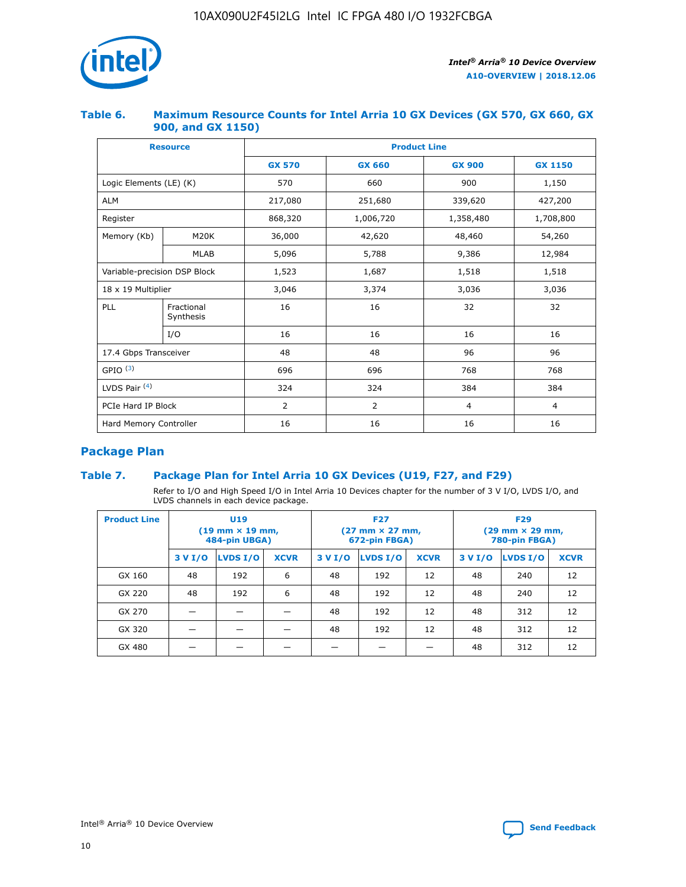

## **Table 6. Maximum Resource Counts for Intel Arria 10 GX Devices (GX 570, GX 660, GX 900, and GX 1150)**

|                              | <b>Resource</b>         | <b>Product Line</b> |               |                |                |  |  |  |  |
|------------------------------|-------------------------|---------------------|---------------|----------------|----------------|--|--|--|--|
|                              |                         | <b>GX 570</b>       | <b>GX 660</b> | <b>GX 900</b>  | <b>GX 1150</b> |  |  |  |  |
| Logic Elements (LE) (K)      |                         | 570                 | 660           | 900            | 1,150          |  |  |  |  |
| <b>ALM</b>                   |                         | 217,080             | 251,680       | 339,620        | 427,200        |  |  |  |  |
| Register                     |                         | 868,320             | 1,006,720     | 1,358,480      | 1,708,800      |  |  |  |  |
| Memory (Kb)                  | <b>M20K</b>             | 36,000              | 42,620        | 48,460         | 54,260         |  |  |  |  |
| <b>MLAB</b>                  |                         | 5,096               | 5,788         | 9,386          | 12,984         |  |  |  |  |
| Variable-precision DSP Block |                         | 1,523               | 1,687         | 1,518          | 1,518          |  |  |  |  |
| $18 \times 19$ Multiplier    |                         | 3,046               | 3,374         | 3,036          | 3,036          |  |  |  |  |
| PLL                          | Fractional<br>Synthesis | 16                  | 16            | 32             | 32             |  |  |  |  |
|                              | I/O                     | 16                  | 16            | 16             | 16             |  |  |  |  |
| 17.4 Gbps Transceiver        |                         | 48                  | 48            | 96             | 96             |  |  |  |  |
| GPIO <sup>(3)</sup>          |                         | 696                 | 696           | 768            | 768            |  |  |  |  |
| LVDS Pair $(4)$              |                         | 324                 | 324           | 384            | 384            |  |  |  |  |
| PCIe Hard IP Block           |                         | 2                   | 2             | $\overline{4}$ | $\overline{4}$ |  |  |  |  |
| Hard Memory Controller       |                         | 16                  | 16            | 16             | 16             |  |  |  |  |

## **Package Plan**

## **Table 7. Package Plan for Intel Arria 10 GX Devices (U19, F27, and F29)**

Refer to I/O and High Speed I/O in Intel Arria 10 Devices chapter for the number of 3 V I/O, LVDS I/O, and LVDS channels in each device package.

| <b>Product Line</b> | U <sub>19</sub><br>$(19 \text{ mm} \times 19 \text{ mm})$<br>484-pin UBGA) |          |             |         | <b>F27</b><br>(27 mm × 27 mm,<br>672-pin FBGA) |             | <b>F29</b><br>(29 mm × 29 mm,<br>780-pin FBGA) |          |             |  |
|---------------------|----------------------------------------------------------------------------|----------|-------------|---------|------------------------------------------------|-------------|------------------------------------------------|----------|-------------|--|
|                     | 3 V I/O                                                                    | LVDS I/O | <b>XCVR</b> | 3 V I/O | <b>LVDS I/O</b>                                | <b>XCVR</b> | 3 V I/O                                        | LVDS I/O | <b>XCVR</b> |  |
| GX 160              | 48                                                                         | 192      | 6           | 48      | 192                                            | 12          | 48                                             | 240      | 12          |  |
| GX 220              | 48                                                                         | 192      | 6           | 48      | 192                                            | 12          | 48                                             | 240      | 12          |  |
| GX 270              |                                                                            |          |             | 48      | 192                                            | 12          | 48                                             | 312      | 12          |  |
| GX 320              |                                                                            |          |             | 48      | 192                                            | 12          | 48                                             | 312      | 12          |  |
| GX 480              |                                                                            |          |             |         |                                                |             | 48                                             | 312      | 12          |  |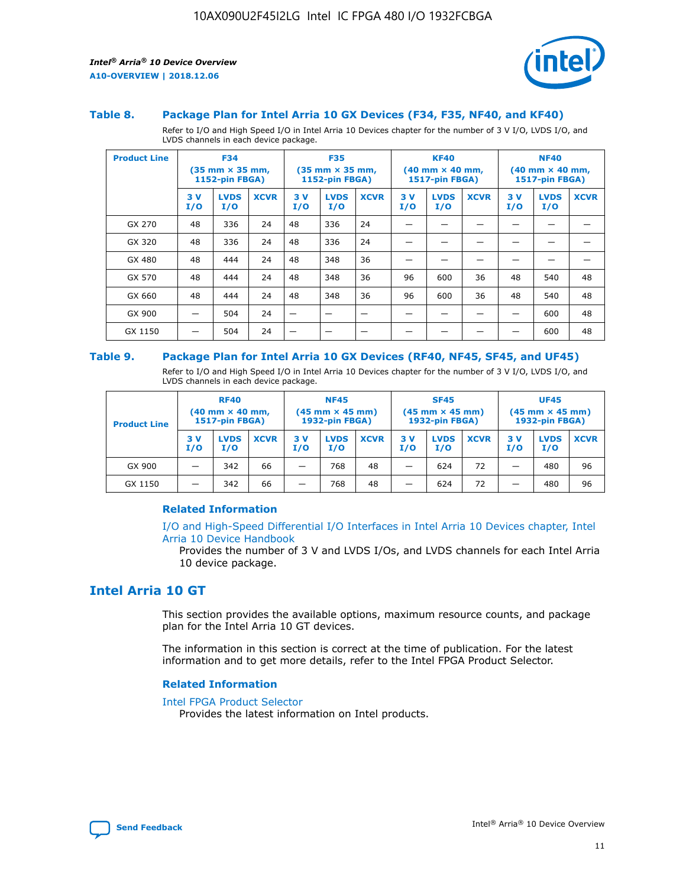



#### **Table 8. Package Plan for Intel Arria 10 GX Devices (F34, F35, NF40, and KF40)**

Refer to I/O and High Speed I/O in Intel Arria 10 Devices chapter for the number of 3 V I/O, LVDS I/O, and LVDS channels in each device package.

| <b>Product Line</b> | <b>F34</b><br>(35 mm × 35 mm,<br><b>1152-pin FBGA)</b> |                    | <b>F35</b><br>$(35$ mm $\times$ 35 mm,<br><b>1152-pin FBGA)</b> |           | <b>KF40</b><br>$(40 \text{ mm} \times 40 \text{ mm})$<br>1517-pin FBGA) |             |           | <b>NF40</b><br>$(40 \text{ mm} \times 40 \text{ mm})$<br><b>1517-pin FBGA)</b> |             |           |                    |             |
|---------------------|--------------------------------------------------------|--------------------|-----------------------------------------------------------------|-----------|-------------------------------------------------------------------------|-------------|-----------|--------------------------------------------------------------------------------|-------------|-----------|--------------------|-------------|
|                     | 3V<br>I/O                                              | <b>LVDS</b><br>I/O | <b>XCVR</b>                                                     | 3V<br>I/O | <b>LVDS</b><br>I/O                                                      | <b>XCVR</b> | 3V<br>I/O | <b>LVDS</b><br>I/O                                                             | <b>XCVR</b> | 3V<br>I/O | <b>LVDS</b><br>I/O | <b>XCVR</b> |
| GX 270              | 48                                                     | 336                | 24                                                              | 48        | 336                                                                     | 24          |           |                                                                                |             |           |                    |             |
| GX 320              | 48                                                     | 336                | 24                                                              | 48        | 336                                                                     | 24          |           |                                                                                |             |           |                    |             |
| GX 480              | 48                                                     | 444                | 24                                                              | 48        | 348                                                                     | 36          |           |                                                                                |             |           |                    |             |
| GX 570              | 48                                                     | 444                | 24                                                              | 48        | 348                                                                     | 36          | 96        | 600                                                                            | 36          | 48        | 540                | 48          |
| GX 660              | 48                                                     | 444                | 24                                                              | 48        | 348                                                                     | 36          | 96        | 600                                                                            | 36          | 48        | 540                | 48          |
| GX 900              |                                                        | 504                | 24                                                              | -         |                                                                         | -           |           |                                                                                |             |           | 600                | 48          |
| GX 1150             |                                                        | 504                | 24                                                              |           |                                                                         |             |           |                                                                                |             |           | 600                | 48          |

#### **Table 9. Package Plan for Intel Arria 10 GX Devices (RF40, NF45, SF45, and UF45)**

Refer to I/O and High Speed I/O in Intel Arria 10 Devices chapter for the number of 3 V I/O, LVDS I/O, and LVDS channels in each device package.

| <b>Product Line</b> | <b>RF40</b><br>$(40$ mm $\times$ 40 mm,<br>1517-pin FBGA) |                    | <b>NF45</b><br>$(45 \text{ mm} \times 45 \text{ mm})$<br><b>1932-pin FBGA)</b> |            |                    | <b>SF45</b><br>$(45 \text{ mm} \times 45 \text{ mm})$<br><b>1932-pin FBGA)</b> |            |                    | <b>UF45</b><br>$(45 \text{ mm} \times 45 \text{ mm})$<br><b>1932-pin FBGA)</b> |           |                    |             |
|---------------------|-----------------------------------------------------------|--------------------|--------------------------------------------------------------------------------|------------|--------------------|--------------------------------------------------------------------------------|------------|--------------------|--------------------------------------------------------------------------------|-----------|--------------------|-------------|
|                     | 3V<br>I/O                                                 | <b>LVDS</b><br>I/O | <b>XCVR</b>                                                                    | 3 V<br>I/O | <b>LVDS</b><br>I/O | <b>XCVR</b>                                                                    | 3 V<br>I/O | <b>LVDS</b><br>I/O | <b>XCVR</b>                                                                    | 3V<br>I/O | <b>LVDS</b><br>I/O | <b>XCVR</b> |
| GX 900              |                                                           | 342                | 66                                                                             | _          | 768                | 48                                                                             |            | 624                | 72                                                                             |           | 480                | 96          |
| GX 1150             |                                                           | 342                | 66                                                                             | _          | 768                | 48                                                                             |            | 624                | 72                                                                             |           | 480                | 96          |

#### **Related Information**

[I/O and High-Speed Differential I/O Interfaces in Intel Arria 10 Devices chapter, Intel](https://www.intel.com/content/www/us/en/programmable/documentation/sam1403482614086.html#sam1403482030321) [Arria 10 Device Handbook](https://www.intel.com/content/www/us/en/programmable/documentation/sam1403482614086.html#sam1403482030321)

Provides the number of 3 V and LVDS I/Os, and LVDS channels for each Intel Arria 10 device package.

## **Intel Arria 10 GT**

This section provides the available options, maximum resource counts, and package plan for the Intel Arria 10 GT devices.

The information in this section is correct at the time of publication. For the latest information and to get more details, refer to the Intel FPGA Product Selector.

#### **Related Information**

#### [Intel FPGA Product Selector](http://www.altera.com/products/selector/psg-selector.html)

Provides the latest information on Intel products.

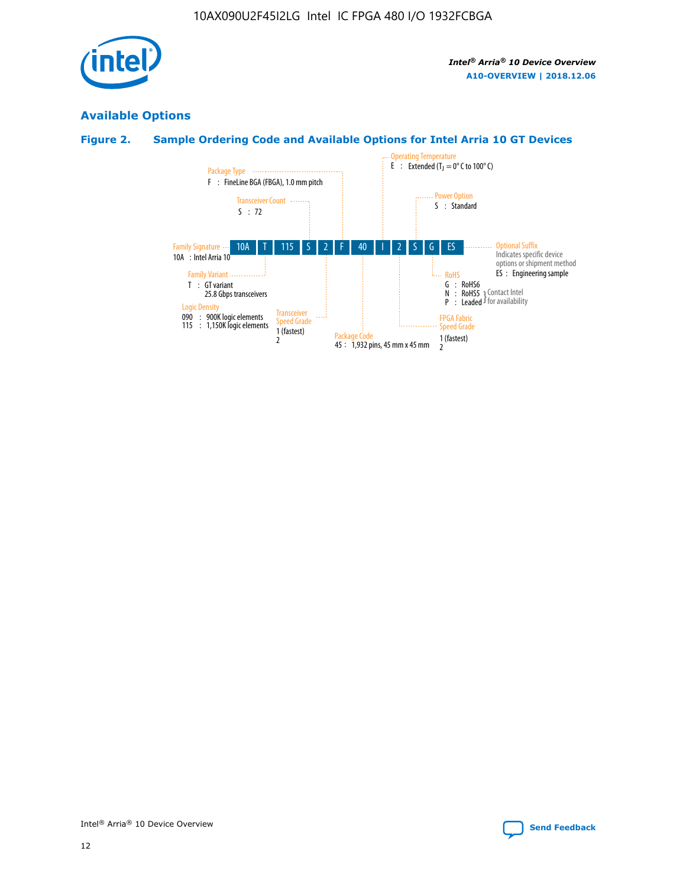

## **Available Options**

## **Figure 2. Sample Ordering Code and Available Options for Intel Arria 10 GT Devices**

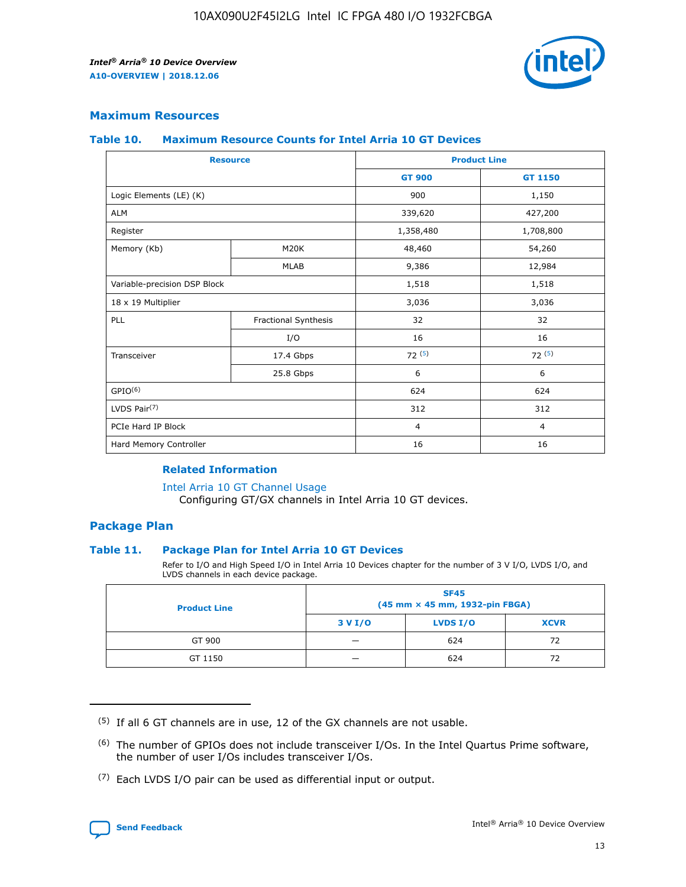

## **Maximum Resources**

#### **Table 10. Maximum Resource Counts for Intel Arria 10 GT Devices**

|                              | <b>Resource</b>      | <b>Product Line</b> |                |  |
|------------------------------|----------------------|---------------------|----------------|--|
|                              |                      | <b>GT 900</b>       | GT 1150        |  |
| Logic Elements (LE) (K)      |                      | 900                 | 1,150          |  |
| <b>ALM</b>                   |                      | 339,620             | 427,200        |  |
| Register                     |                      | 1,358,480           | 1,708,800      |  |
| Memory (Kb)                  | M20K                 | 48,460              | 54,260         |  |
|                              | <b>MLAB</b>          | 9,386               | 12,984         |  |
| Variable-precision DSP Block |                      | 1,518               | 1,518          |  |
| 18 x 19 Multiplier           |                      | 3,036               | 3,036          |  |
| <b>PLL</b>                   | Fractional Synthesis | 32                  | 32             |  |
|                              | I/O                  | 16                  | 16             |  |
| Transceiver                  | 17.4 Gbps            | 72(5)               | 72(5)          |  |
|                              | 25.8 Gbps            | 6                   | 6              |  |
| GPIO <sup>(6)</sup>          |                      | 624                 | 624            |  |
| LVDS Pair $(7)$              |                      | 312                 | 312            |  |
| PCIe Hard IP Block           |                      | $\overline{4}$      | $\overline{4}$ |  |
| Hard Memory Controller       |                      | 16                  | 16             |  |

### **Related Information**

#### [Intel Arria 10 GT Channel Usage](https://www.intel.com/content/www/us/en/programmable/documentation/nik1398707230472.html#nik1398707008178)

Configuring GT/GX channels in Intel Arria 10 GT devices.

## **Package Plan**

#### **Table 11. Package Plan for Intel Arria 10 GT Devices**

Refer to I/O and High Speed I/O in Intel Arria 10 Devices chapter for the number of 3 V I/O, LVDS I/O, and LVDS channels in each device package.

| <b>Product Line</b> | <b>SF45</b><br>(45 mm × 45 mm, 1932-pin FBGA) |                 |             |  |  |  |
|---------------------|-----------------------------------------------|-----------------|-------------|--|--|--|
|                     | 3 V I/O                                       | <b>LVDS I/O</b> | <b>XCVR</b> |  |  |  |
| GT 900              |                                               | 624             | 72          |  |  |  |
| GT 1150             |                                               | 624             | 72          |  |  |  |

<sup>(7)</sup> Each LVDS I/O pair can be used as differential input or output.



 $(5)$  If all 6 GT channels are in use, 12 of the GX channels are not usable.

<sup>(6)</sup> The number of GPIOs does not include transceiver I/Os. In the Intel Quartus Prime software, the number of user I/Os includes transceiver I/Os.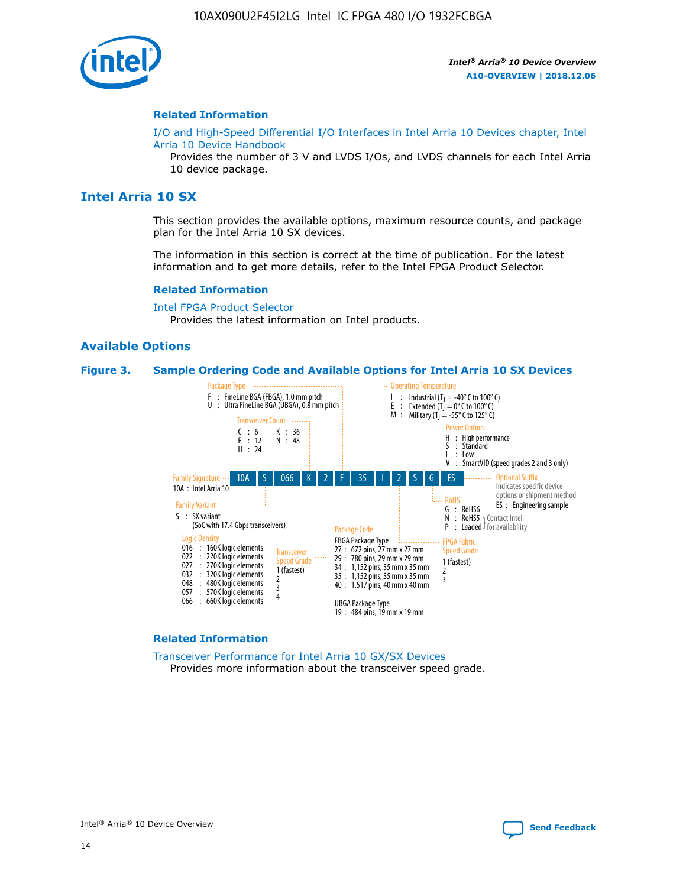

#### **Related Information**

[I/O and High-Speed Differential I/O Interfaces in Intel Arria 10 Devices chapter, Intel](https://www.intel.com/content/www/us/en/programmable/documentation/sam1403482614086.html#sam1403482030321) [Arria 10 Device Handbook](https://www.intel.com/content/www/us/en/programmable/documentation/sam1403482614086.html#sam1403482030321)

Provides the number of 3 V and LVDS I/Os, and LVDS channels for each Intel Arria 10 device package.

## **Intel Arria 10 SX**

This section provides the available options, maximum resource counts, and package plan for the Intel Arria 10 SX devices.

The information in this section is correct at the time of publication. For the latest information and to get more details, refer to the Intel FPGA Product Selector.

#### **Related Information**

[Intel FPGA Product Selector](http://www.altera.com/products/selector/psg-selector.html) Provides the latest information on Intel products.

#### **Available Options**

#### **Figure 3. Sample Ordering Code and Available Options for Intel Arria 10 SX Devices**



#### **Related Information**

[Transceiver Performance for Intel Arria 10 GX/SX Devices](https://www.intel.com/content/www/us/en/programmable/documentation/mcn1413182292568.html#mcn1413213965502) Provides more information about the transceiver speed grade.

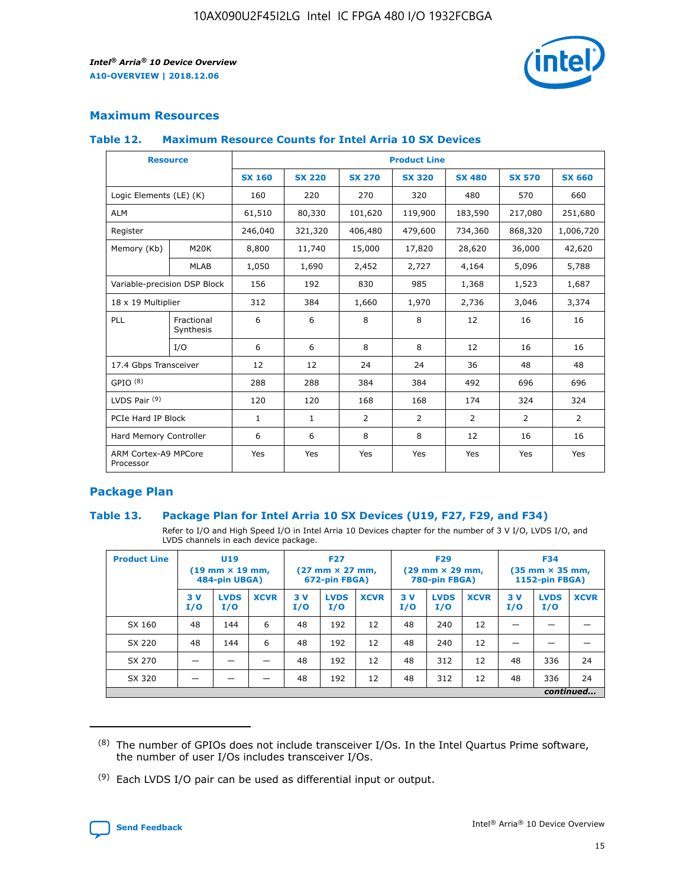

## **Maximum Resources**

#### **Table 12. Maximum Resource Counts for Intel Arria 10 SX Devices**

|                                   | <b>Resource</b>         | <b>Product Line</b> |               |                |                |                |                |                |  |  |  |
|-----------------------------------|-------------------------|---------------------|---------------|----------------|----------------|----------------|----------------|----------------|--|--|--|
|                                   |                         | <b>SX 160</b>       | <b>SX 220</b> | <b>SX 270</b>  | <b>SX 320</b>  | <b>SX 480</b>  | <b>SX 570</b>  | <b>SX 660</b>  |  |  |  |
| Logic Elements (LE) (K)           |                         | 160                 | 220           | 270            | 320            | 480            | 570            | 660            |  |  |  |
| <b>ALM</b>                        |                         | 61,510              | 80,330        | 101,620        | 119,900        | 183,590        | 217,080        | 251,680        |  |  |  |
| Register                          |                         | 246,040             | 321,320       | 406,480        | 479,600        | 734,360        | 868,320        | 1,006,720      |  |  |  |
| Memory (Kb)                       | M <sub>20</sub> K       | 8,800               | 11,740        | 15,000         | 17,820         | 28,620         | 36,000         | 42,620         |  |  |  |
|                                   | <b>MLAB</b>             | 1,050               | 1,690         | 2,452          | 2,727          | 4,164          | 5,096          | 5,788          |  |  |  |
| Variable-precision DSP Block      |                         | 156                 | 192           | 830            | 985            | 1,368          | 1,523          | 1,687          |  |  |  |
| 18 x 19 Multiplier                |                         | 312                 | 384           | 1,660          | 1,970          | 2,736          | 3,046          | 3,374          |  |  |  |
| <b>PLL</b>                        | Fractional<br>Synthesis | 6                   | 6             | 8              | 8              | 12             | 16             | 16             |  |  |  |
|                                   | I/O                     | 6                   | 6             | 8              | 8              | 12             | 16             | 16             |  |  |  |
| 17.4 Gbps Transceiver             |                         | 12                  | 12            | 24             | 24             | 36             | 48             | 48             |  |  |  |
| GPIO <sup>(8)</sup>               |                         | 288                 | 288           | 384            | 384            | 492            | 696            | 696            |  |  |  |
| LVDS Pair $(9)$                   |                         | 120                 | 120           | 168            | 168            | 174            | 324            | 324            |  |  |  |
| PCIe Hard IP Block                |                         | $\mathbf{1}$        | $\mathbf{1}$  | $\overline{2}$ | $\overline{2}$ | $\overline{2}$ | $\overline{2}$ | $\overline{2}$ |  |  |  |
| Hard Memory Controller            |                         | 6                   | 6             | 8              | 8              | 12             | 16             | 16             |  |  |  |
| ARM Cortex-A9 MPCore<br>Processor |                         | Yes                 | Yes           | Yes            | Yes            | Yes            | Yes            | Yes            |  |  |  |

## **Package Plan**

#### **Table 13. Package Plan for Intel Arria 10 SX Devices (U19, F27, F29, and F34)**

Refer to I/O and High Speed I/O in Intel Arria 10 Devices chapter for the number of 3 V I/O, LVDS I/O, and LVDS channels in each device package.

| <b>Product Line</b> | U <sub>19</sub><br>$(19 \text{ mm} \times 19 \text{ mm})$ .<br>484-pin UBGA) |                    |             | <b>F27</b><br>$(27 \text{ mm} \times 27 \text{ mm})$<br>672-pin FBGA) |                    | <b>F29</b><br>$(29 \text{ mm} \times 29 \text{ mm})$<br>780-pin FBGA) |           |                    | <b>F34</b><br>$(35 \text{ mm} \times 35 \text{ mm})$<br><b>1152-pin FBGA)</b> |           |                    |             |
|---------------------|------------------------------------------------------------------------------|--------------------|-------------|-----------------------------------------------------------------------|--------------------|-----------------------------------------------------------------------|-----------|--------------------|-------------------------------------------------------------------------------|-----------|--------------------|-------------|
|                     | 3V<br>I/O                                                                    | <b>LVDS</b><br>I/O | <b>XCVR</b> | 3V<br>I/O                                                             | <b>LVDS</b><br>I/O | <b>XCVR</b>                                                           | 3V<br>I/O | <b>LVDS</b><br>I/O | <b>XCVR</b>                                                                   | 3V<br>I/O | <b>LVDS</b><br>I/O | <b>XCVR</b> |
| SX 160              | 48                                                                           | 144                | 6           | 48                                                                    | 192                | 12                                                                    | 48        | 240                | 12                                                                            |           |                    |             |
| SX 220              | 48                                                                           | 144                | 6           | 48                                                                    | 192                | 12                                                                    | 48        | 240                | 12                                                                            |           |                    |             |
| SX 270              |                                                                              |                    |             | 48                                                                    | 192                | 12                                                                    | 48        | 312                | 12                                                                            | 48        | 336                | 24          |
| SX 320              |                                                                              |                    |             | 48                                                                    | 192                | 12                                                                    | 48        | 312                | 12                                                                            | 48        | 336                | 24          |
|                     | continued                                                                    |                    |             |                                                                       |                    |                                                                       |           |                    |                                                                               |           |                    |             |

 $(8)$  The number of GPIOs does not include transceiver I/Os. In the Intel Quartus Prime software, the number of user I/Os includes transceiver I/Os.

 $(9)$  Each LVDS I/O pair can be used as differential input or output.

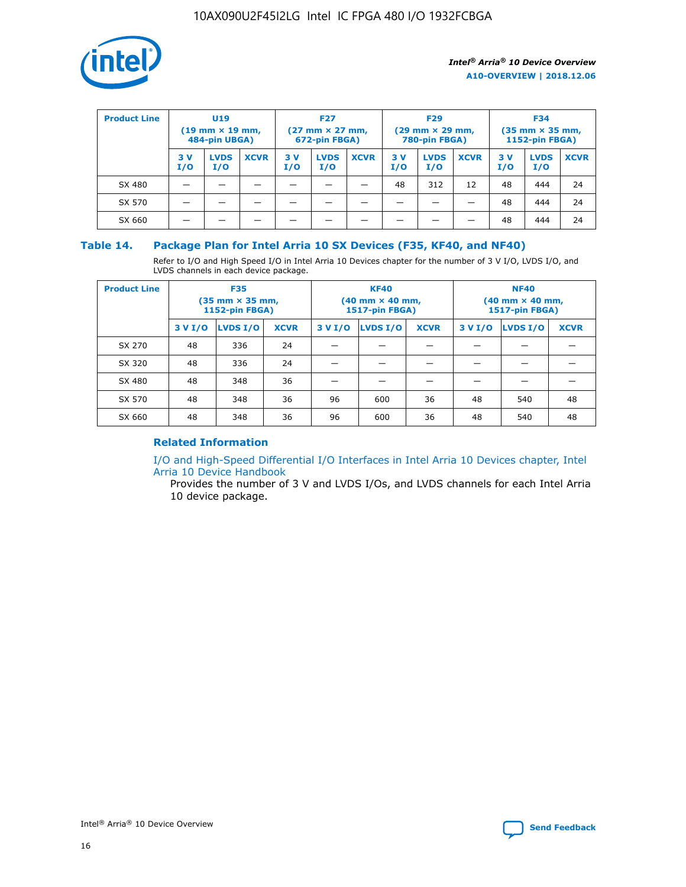

| <b>Product Line</b> | U <sub>19</sub><br>$(19 \text{ mm} \times 19 \text{ mm})$<br>484-pin UBGA) |                    | <b>F27</b><br>$(27 \text{ mm} \times 27 \text{ mm})$<br>672-pin FBGA) |           | <b>F29</b><br>$(29 \text{ mm} \times 29 \text{ mm})$<br>780-pin FBGA) |             |           | <b>F34</b><br>$(35 \text{ mm} \times 35 \text{ mm})$<br><b>1152-pin FBGA)</b> |             |           |                    |             |
|---------------------|----------------------------------------------------------------------------|--------------------|-----------------------------------------------------------------------|-----------|-----------------------------------------------------------------------|-------------|-----------|-------------------------------------------------------------------------------|-------------|-----------|--------------------|-------------|
|                     | 3 V<br>I/O                                                                 | <b>LVDS</b><br>I/O | <b>XCVR</b>                                                           | 3V<br>I/O | <b>LVDS</b><br>I/O                                                    | <b>XCVR</b> | 3V<br>I/O | <b>LVDS</b><br>I/O                                                            | <b>XCVR</b> | 3V<br>I/O | <b>LVDS</b><br>I/O | <b>XCVR</b> |
| SX 480              |                                                                            |                    |                                                                       |           |                                                                       |             | 48        | 312                                                                           | 12          | 48        | 444                | 24          |
| SX 570              |                                                                            |                    |                                                                       |           |                                                                       |             |           |                                                                               |             | 48        | 444                | 24          |
| SX 660              |                                                                            |                    |                                                                       |           |                                                                       |             |           |                                                                               |             | 48        | 444                | 24          |

## **Table 14. Package Plan for Intel Arria 10 SX Devices (F35, KF40, and NF40)**

Refer to I/O and High Speed I/O in Intel Arria 10 Devices chapter for the number of 3 V I/O, LVDS I/O, and LVDS channels in each device package.

| <b>Product Line</b> | <b>F35</b><br>$(35 \text{ mm} \times 35 \text{ mm})$<br><b>1152-pin FBGA)</b> |          |             |                                           | <b>KF40</b><br>(40 mm × 40 mm,<br>1517-pin FBGA) |    | <b>NF40</b><br>$(40 \text{ mm} \times 40 \text{ mm})$<br>1517-pin FBGA) |          |             |  |
|---------------------|-------------------------------------------------------------------------------|----------|-------------|-------------------------------------------|--------------------------------------------------|----|-------------------------------------------------------------------------|----------|-------------|--|
|                     | 3 V I/O                                                                       | LVDS I/O | <b>XCVR</b> | <b>LVDS I/O</b><br><b>XCVR</b><br>3 V I/O |                                                  |    | 3 V I/O                                                                 | LVDS I/O | <b>XCVR</b> |  |
| SX 270              | 48                                                                            | 336      | 24          |                                           |                                                  |    |                                                                         |          |             |  |
| SX 320              | 48                                                                            | 336      | 24          |                                           |                                                  |    |                                                                         |          |             |  |
| SX 480              | 48                                                                            | 348      | 36          |                                           |                                                  |    |                                                                         |          |             |  |
| SX 570              | 48                                                                            | 348      | 36          | 96<br>36<br>600                           |                                                  | 48 | 540                                                                     | 48       |             |  |
| SX 660              | 48                                                                            | 348      | 36          | 96                                        | 600                                              | 36 | 48                                                                      | 540      | 48          |  |

## **Related Information**

[I/O and High-Speed Differential I/O Interfaces in Intel Arria 10 Devices chapter, Intel](https://www.intel.com/content/www/us/en/programmable/documentation/sam1403482614086.html#sam1403482030321) [Arria 10 Device Handbook](https://www.intel.com/content/www/us/en/programmable/documentation/sam1403482614086.html#sam1403482030321)

Provides the number of 3 V and LVDS I/Os, and LVDS channels for each Intel Arria 10 device package.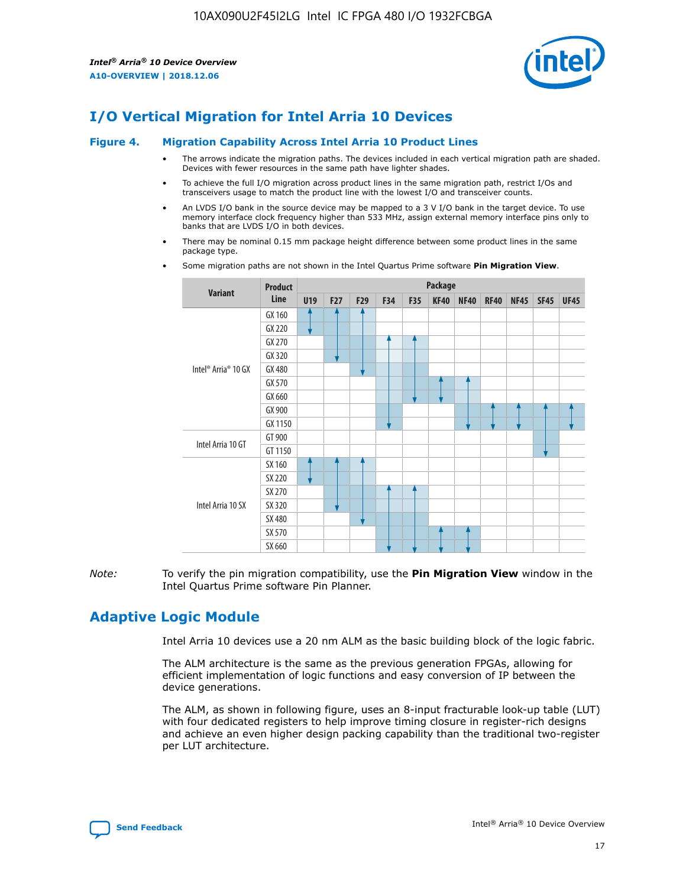

## **I/O Vertical Migration for Intel Arria 10 Devices**

#### **Figure 4. Migration Capability Across Intel Arria 10 Product Lines**

- The arrows indicate the migration paths. The devices included in each vertical migration path are shaded. Devices with fewer resources in the same path have lighter shades.
- To achieve the full I/O migration across product lines in the same migration path, restrict I/Os and transceivers usage to match the product line with the lowest I/O and transceiver counts.
- An LVDS I/O bank in the source device may be mapped to a 3 V I/O bank in the target device. To use memory interface clock frequency higher than 533 MHz, assign external memory interface pins only to banks that are LVDS I/O in both devices.
- There may be nominal 0.15 mm package height difference between some product lines in the same package type.
	- **Variant Product Line Package U19 F27 F29 F34 F35 KF40 NF40 RF40 NF45 SF45 UF45** Intel® Arria® 10 GX GX 160 GX 220 GX 270 GX 320 GX 480 GX 570 GX 660 GX 900 GX 1150 Intel Arria 10 GT GT 900 GT 1150 Intel Arria 10 SX SX 160 SX 220 SX 270 SX 320 SX 480 SX 570 SX 660
- Some migration paths are not shown in the Intel Quartus Prime software **Pin Migration View**.

*Note:* To verify the pin migration compatibility, use the **Pin Migration View** window in the Intel Quartus Prime software Pin Planner.

## **Adaptive Logic Module**

Intel Arria 10 devices use a 20 nm ALM as the basic building block of the logic fabric.

The ALM architecture is the same as the previous generation FPGAs, allowing for efficient implementation of logic functions and easy conversion of IP between the device generations.

The ALM, as shown in following figure, uses an 8-input fracturable look-up table (LUT) with four dedicated registers to help improve timing closure in register-rich designs and achieve an even higher design packing capability than the traditional two-register per LUT architecture.

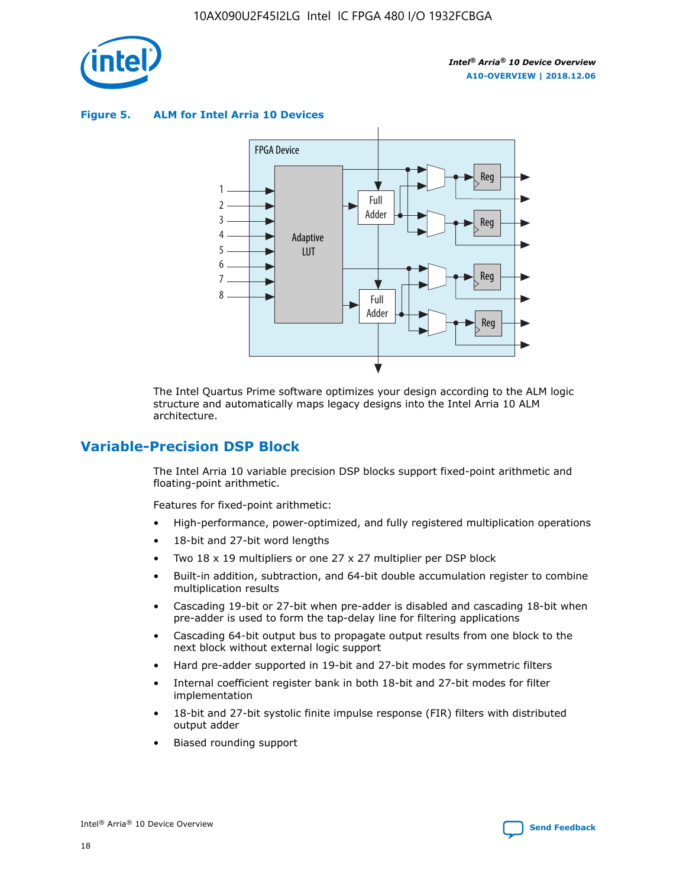

**Figure 5. ALM for Intel Arria 10 Devices**



The Intel Quartus Prime software optimizes your design according to the ALM logic structure and automatically maps legacy designs into the Intel Arria 10 ALM architecture.

## **Variable-Precision DSP Block**

The Intel Arria 10 variable precision DSP blocks support fixed-point arithmetic and floating-point arithmetic.

Features for fixed-point arithmetic:

- High-performance, power-optimized, and fully registered multiplication operations
- 18-bit and 27-bit word lengths
- Two 18 x 19 multipliers or one 27 x 27 multiplier per DSP block
- Built-in addition, subtraction, and 64-bit double accumulation register to combine multiplication results
- Cascading 19-bit or 27-bit when pre-adder is disabled and cascading 18-bit when pre-adder is used to form the tap-delay line for filtering applications
- Cascading 64-bit output bus to propagate output results from one block to the next block without external logic support
- Hard pre-adder supported in 19-bit and 27-bit modes for symmetric filters
- Internal coefficient register bank in both 18-bit and 27-bit modes for filter implementation
- 18-bit and 27-bit systolic finite impulse response (FIR) filters with distributed output adder
- Biased rounding support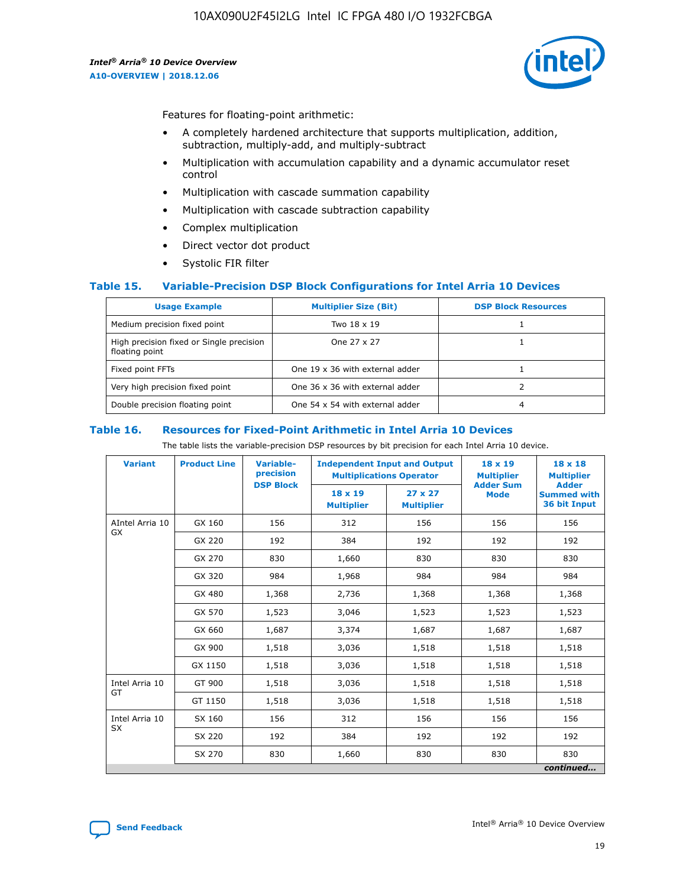

Features for floating-point arithmetic:

- A completely hardened architecture that supports multiplication, addition, subtraction, multiply-add, and multiply-subtract
- Multiplication with accumulation capability and a dynamic accumulator reset control
- Multiplication with cascade summation capability
- Multiplication with cascade subtraction capability
- Complex multiplication
- Direct vector dot product
- Systolic FIR filter

#### **Table 15. Variable-Precision DSP Block Configurations for Intel Arria 10 Devices**

| <b>Usage Example</b>                                       | <b>Multiplier Size (Bit)</b>    | <b>DSP Block Resources</b> |
|------------------------------------------------------------|---------------------------------|----------------------------|
| Medium precision fixed point                               | Two 18 x 19                     |                            |
| High precision fixed or Single precision<br>floating point | One 27 x 27                     |                            |
| Fixed point FFTs                                           | One 19 x 36 with external adder |                            |
| Very high precision fixed point                            | One 36 x 36 with external adder |                            |
| Double precision floating point                            | One 54 x 54 with external adder | 4                          |

#### **Table 16. Resources for Fixed-Point Arithmetic in Intel Arria 10 Devices**

The table lists the variable-precision DSP resources by bit precision for each Intel Arria 10 device.

| <b>Variant</b>               | <b>Product Line</b> | Variable-<br>precision | <b>Independent Input and Output</b><br><b>Multiplications Operator</b> |                                     | 18 x 19<br><b>Multiplier</b><br><b>Adder Sum</b> | $18 \times 18$<br><b>Multiplier</b>                |
|------------------------------|---------------------|------------------------|------------------------------------------------------------------------|-------------------------------------|--------------------------------------------------|----------------------------------------------------|
|                              |                     | <b>DSP Block</b>       | $18 \times 19$<br><b>Multiplier</b>                                    | $27 \times 27$<br><b>Multiplier</b> | <b>Mode</b>                                      | <b>Adder</b><br><b>Summed with</b><br>36 bit Input |
| AIntel Arria 10<br><b>GX</b> | GX 160              | 156                    | 312                                                                    | 156                                 | 156                                              | 156                                                |
|                              | GX 220              | 192                    | 384                                                                    | 192                                 | 192                                              | 192                                                |
|                              | GX 270              | 830                    | 1,660                                                                  | 830                                 | 830                                              | 830                                                |
|                              | GX 320              | 984                    | 1,968                                                                  | 984                                 | 984                                              | 984                                                |
|                              | GX 480              | 1,368                  | 2,736                                                                  | 1,368                               | 1,368                                            | 1,368                                              |
|                              | GX 570              | 1,523                  | 3,046                                                                  | 1,523                               | 1,523                                            | 1,523                                              |
|                              | GX 660              | 1,687                  | 3,374                                                                  | 1,687                               | 1,687                                            | 1,687                                              |
|                              | GX 900              | 1,518                  | 3,036                                                                  | 1,518                               | 1,518                                            | 1,518                                              |
|                              | GX 1150             | 1,518                  | 3,036                                                                  | 1,518                               | 1,518                                            | 1,518                                              |
| Intel Arria 10               | GT 900              | 1,518                  | 3,036                                                                  | 1,518                               | 1,518                                            | 1,518                                              |
| GT                           | GT 1150             | 1,518                  | 3,036                                                                  | 1,518                               | 1,518                                            | 1,518                                              |
| Intel Arria 10               | SX 160              | 156                    | 312                                                                    | 156                                 | 156                                              | 156                                                |
| <b>SX</b>                    | SX 220              | 192                    | 384                                                                    | 192                                 | 192                                              | 192                                                |
|                              | SX 270              | 830                    | 1,660                                                                  | 830                                 | 830                                              | 830                                                |
|                              |                     |                        |                                                                        |                                     |                                                  | continued                                          |

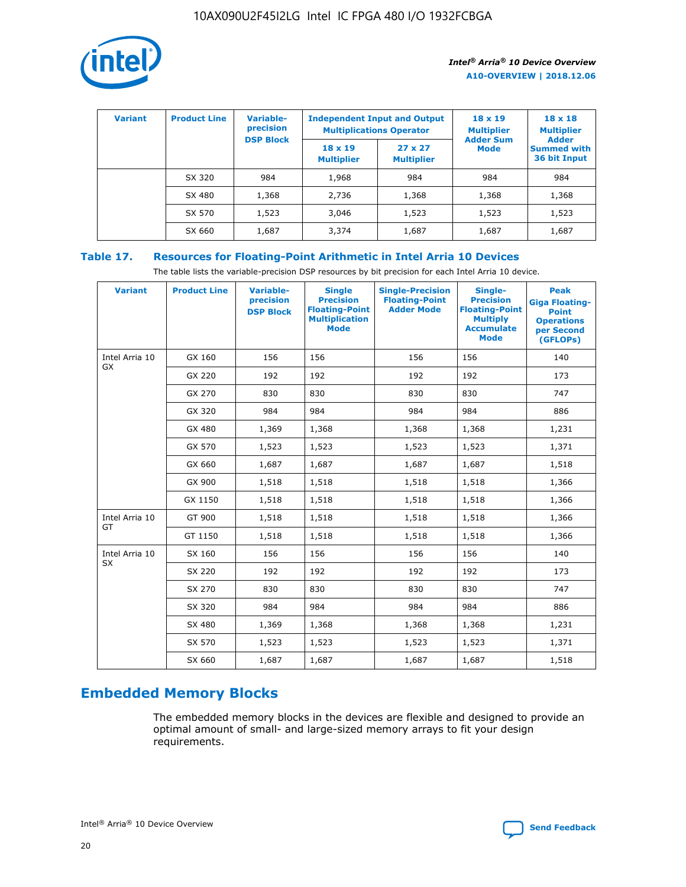

| <b>Variant</b> | <b>Product Line</b> | <b>Variable-</b><br>precision<br><b>DSP Block</b> | <b>Independent Input and Output</b><br><b>Multiplications Operator</b> |                                     | $18 \times 19$<br><b>Multiplier</b><br><b>Adder Sum</b> | $18 \times 18$<br><b>Multiplier</b><br><b>Adder</b> |  |
|----------------|---------------------|---------------------------------------------------|------------------------------------------------------------------------|-------------------------------------|---------------------------------------------------------|-----------------------------------------------------|--|
|                |                     |                                                   | $18 \times 19$<br><b>Multiplier</b>                                    | $27 \times 27$<br><b>Multiplier</b> | <b>Mode</b>                                             | <b>Summed with</b><br>36 bit Input                  |  |
|                | SX 320              | 984                                               | 1,968                                                                  | 984                                 | 984                                                     | 984                                                 |  |
|                | SX 480              | 1,368                                             | 2,736                                                                  | 1,368                               | 1,368                                                   | 1,368                                               |  |
|                | SX 570              | 1,523                                             | 3,046                                                                  | 1,523                               | 1,523                                                   | 1,523                                               |  |
|                | SX 660              | 1,687                                             | 3,374                                                                  | 1,687                               | 1,687                                                   | 1,687                                               |  |

## **Table 17. Resources for Floating-Point Arithmetic in Intel Arria 10 Devices**

The table lists the variable-precision DSP resources by bit precision for each Intel Arria 10 device.

| <b>Variant</b> | <b>Product Line</b> | <b>Variable-</b><br>precision<br><b>DSP Block</b> | <b>Single</b><br><b>Precision</b><br><b>Floating-Point</b><br><b>Multiplication</b><br><b>Mode</b> | <b>Single-Precision</b><br><b>Floating-Point</b><br><b>Adder Mode</b> | Single-<br><b>Precision</b><br><b>Floating-Point</b><br><b>Multiply</b><br><b>Accumulate</b><br><b>Mode</b> | <b>Peak</b><br><b>Giga Floating-</b><br><b>Point</b><br><b>Operations</b><br>per Second<br>(GFLOPs) |
|----------------|---------------------|---------------------------------------------------|----------------------------------------------------------------------------------------------------|-----------------------------------------------------------------------|-------------------------------------------------------------------------------------------------------------|-----------------------------------------------------------------------------------------------------|
| Intel Arria 10 | GX 160              | 156                                               | 156                                                                                                | 156                                                                   | 156                                                                                                         | 140                                                                                                 |
| GX             | GX 220              | 192                                               | 192                                                                                                | 192                                                                   | 192                                                                                                         | 173                                                                                                 |
|                | GX 270              | 830                                               | 830                                                                                                | 830                                                                   | 830                                                                                                         | 747                                                                                                 |
|                | GX 320              | 984                                               | 984                                                                                                | 984                                                                   | 984                                                                                                         | 886                                                                                                 |
|                | GX 480              | 1,369                                             | 1,368                                                                                              | 1,368                                                                 | 1,368                                                                                                       | 1,231                                                                                               |
|                | GX 570              | 1,523                                             | 1,523                                                                                              | 1,523                                                                 | 1,523                                                                                                       | 1,371                                                                                               |
|                | GX 660              | 1,687                                             | 1,687                                                                                              | 1,687                                                                 | 1,687                                                                                                       | 1,518                                                                                               |
|                | GX 900              | 1,518                                             | 1,518                                                                                              | 1,518                                                                 | 1,518                                                                                                       | 1,366                                                                                               |
|                | GX 1150             | 1,518                                             | 1,518                                                                                              | 1,518                                                                 | 1,518                                                                                                       | 1,366                                                                                               |
| Intel Arria 10 | GT 900              | 1,518                                             | 1,518                                                                                              | 1,518                                                                 | 1,518                                                                                                       | 1,366                                                                                               |
| GT             | GT 1150             | 1,518                                             | 1,518                                                                                              | 1,518                                                                 | 1,518                                                                                                       | 1,366                                                                                               |
| Intel Arria 10 | SX 160              | 156                                               | 156                                                                                                | 156                                                                   | 156                                                                                                         | 140                                                                                                 |
| <b>SX</b>      | SX 220              | 192                                               | 192                                                                                                | 192                                                                   | 192                                                                                                         | 173                                                                                                 |
|                | SX 270              | 830                                               | 830                                                                                                | 830                                                                   | 830                                                                                                         | 747                                                                                                 |
|                | SX 320              | 984                                               | 984                                                                                                | 984                                                                   | 984                                                                                                         | 886                                                                                                 |
|                | SX 480              | 1,369                                             | 1,368                                                                                              | 1,368                                                                 | 1,368                                                                                                       | 1,231                                                                                               |
|                | SX 570              | 1,523                                             | 1,523                                                                                              | 1,523                                                                 | 1,523                                                                                                       | 1,371                                                                                               |
|                | SX 660              | 1,687                                             | 1,687                                                                                              | 1,687                                                                 | 1,687                                                                                                       | 1,518                                                                                               |

# **Embedded Memory Blocks**

The embedded memory blocks in the devices are flexible and designed to provide an optimal amount of small- and large-sized memory arrays to fit your design requirements.

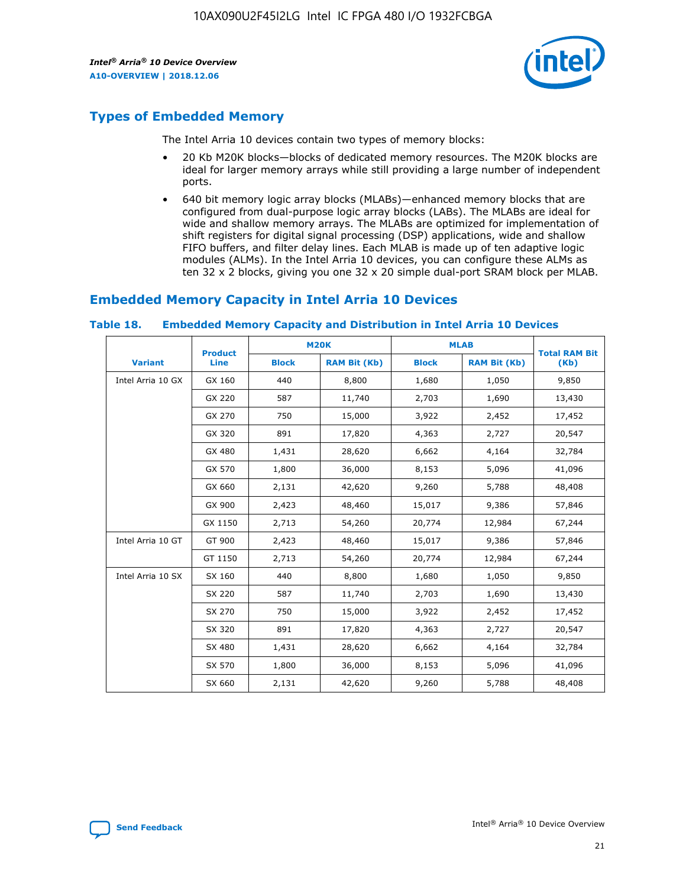

## **Types of Embedded Memory**

The Intel Arria 10 devices contain two types of memory blocks:

- 20 Kb M20K blocks—blocks of dedicated memory resources. The M20K blocks are ideal for larger memory arrays while still providing a large number of independent ports.
- 640 bit memory logic array blocks (MLABs)—enhanced memory blocks that are configured from dual-purpose logic array blocks (LABs). The MLABs are ideal for wide and shallow memory arrays. The MLABs are optimized for implementation of shift registers for digital signal processing (DSP) applications, wide and shallow FIFO buffers, and filter delay lines. Each MLAB is made up of ten adaptive logic modules (ALMs). In the Intel Arria 10 devices, you can configure these ALMs as ten 32 x 2 blocks, giving you one 32 x 20 simple dual-port SRAM block per MLAB.

## **Embedded Memory Capacity in Intel Arria 10 Devices**

|                   | <b>Product</b> |              | <b>M20K</b>         | <b>MLAB</b>  |                     | <b>Total RAM Bit</b> |
|-------------------|----------------|--------------|---------------------|--------------|---------------------|----------------------|
| <b>Variant</b>    | <b>Line</b>    | <b>Block</b> | <b>RAM Bit (Kb)</b> | <b>Block</b> | <b>RAM Bit (Kb)</b> | (Kb)                 |
| Intel Arria 10 GX | GX 160         | 440          | 8,800               | 1,680        | 1,050               | 9,850                |
|                   | GX 220         | 587          | 11,740              | 2,703        | 1,690               | 13,430               |
|                   | GX 270         | 750          | 15,000              | 3,922        | 2,452               | 17,452               |
|                   | GX 320         | 891          | 17,820              | 4,363        | 2,727               | 20,547               |
|                   | GX 480         | 1,431        | 28,620              | 6,662        | 4,164               | 32,784               |
|                   | GX 570         | 1,800        | 36,000              | 8,153        | 5,096               | 41,096               |
|                   | GX 660         | 2,131        | 42,620              | 9,260        | 5,788               | 48,408               |
|                   | GX 900         | 2,423        | 48,460              | 15,017       | 9,386               | 57,846               |
|                   | GX 1150        | 2,713        | 54,260              | 20,774       | 12,984              | 67,244               |
| Intel Arria 10 GT | GT 900         | 2,423        | 48,460              | 15,017       | 9,386               | 57,846               |
|                   | GT 1150        | 2,713        | 54,260              | 20,774       | 12,984              | 67,244               |
| Intel Arria 10 SX | SX 160         | 440          | 8,800               | 1,680        | 1,050               | 9,850                |
|                   | SX 220         | 587          | 11,740              | 2,703        | 1,690               | 13,430               |
|                   | SX 270         | 750          | 15,000              | 3,922        | 2,452               | 17,452               |
|                   | SX 320         | 891          | 17,820              | 4,363        | 2,727               | 20,547               |
|                   | SX 480         | 1,431        | 28,620              | 6,662        | 4,164               | 32,784               |
|                   | SX 570         | 1,800        | 36,000              | 8,153        | 5,096               | 41,096               |
|                   | SX 660         | 2,131        | 42,620              | 9,260        | 5,788               | 48,408               |

#### **Table 18. Embedded Memory Capacity and Distribution in Intel Arria 10 Devices**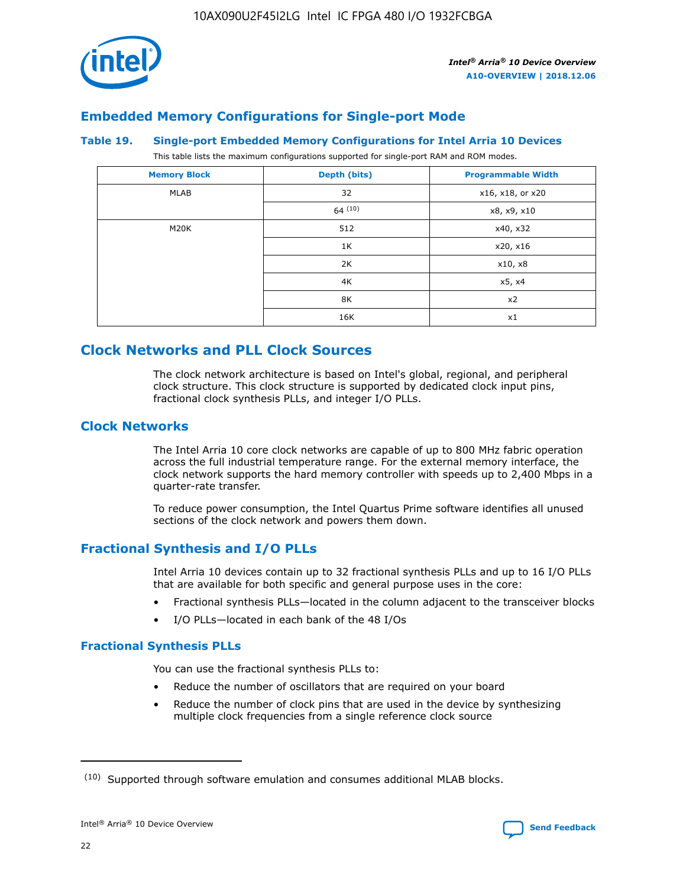

## **Embedded Memory Configurations for Single-port Mode**

#### **Table 19. Single-port Embedded Memory Configurations for Intel Arria 10 Devices**

This table lists the maximum configurations supported for single-port RAM and ROM modes.

| <b>Memory Block</b> | Depth (bits) | <b>Programmable Width</b> |
|---------------------|--------------|---------------------------|
| MLAB                | 32           | x16, x18, or x20          |
|                     | 64(10)       | x8, x9, x10               |
| M20K                | 512          | x40, x32                  |
|                     | 1K           | x20, x16                  |
|                     | 2K           | x10, x8                   |
|                     | 4K           | x5, x4                    |
|                     | 8K           | x2                        |
|                     | 16K          | x1                        |

## **Clock Networks and PLL Clock Sources**

The clock network architecture is based on Intel's global, regional, and peripheral clock structure. This clock structure is supported by dedicated clock input pins, fractional clock synthesis PLLs, and integer I/O PLLs.

## **Clock Networks**

The Intel Arria 10 core clock networks are capable of up to 800 MHz fabric operation across the full industrial temperature range. For the external memory interface, the clock network supports the hard memory controller with speeds up to 2,400 Mbps in a quarter-rate transfer.

To reduce power consumption, the Intel Quartus Prime software identifies all unused sections of the clock network and powers them down.

## **Fractional Synthesis and I/O PLLs**

Intel Arria 10 devices contain up to 32 fractional synthesis PLLs and up to 16 I/O PLLs that are available for both specific and general purpose uses in the core:

- Fractional synthesis PLLs—located in the column adjacent to the transceiver blocks
- I/O PLLs—located in each bank of the 48 I/Os

## **Fractional Synthesis PLLs**

You can use the fractional synthesis PLLs to:

- Reduce the number of oscillators that are required on your board
- Reduce the number of clock pins that are used in the device by synthesizing multiple clock frequencies from a single reference clock source

<sup>(10)</sup> Supported through software emulation and consumes additional MLAB blocks.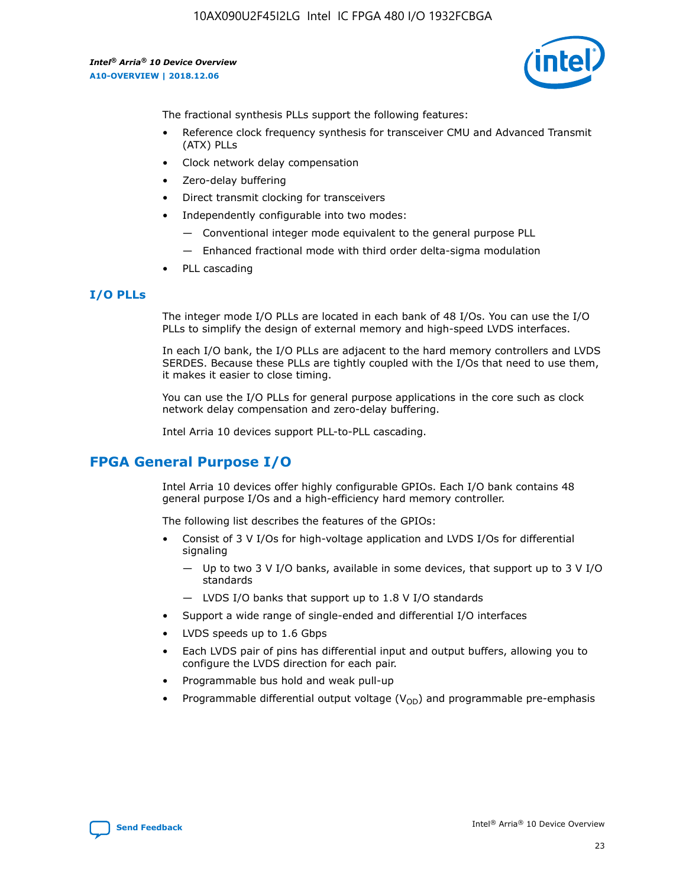

The fractional synthesis PLLs support the following features:

- Reference clock frequency synthesis for transceiver CMU and Advanced Transmit (ATX) PLLs
- Clock network delay compensation
- Zero-delay buffering
- Direct transmit clocking for transceivers
- Independently configurable into two modes:
	- Conventional integer mode equivalent to the general purpose PLL
	- Enhanced fractional mode with third order delta-sigma modulation
- PLL cascading

#### **I/O PLLs**

The integer mode I/O PLLs are located in each bank of 48 I/Os. You can use the I/O PLLs to simplify the design of external memory and high-speed LVDS interfaces.

In each I/O bank, the I/O PLLs are adjacent to the hard memory controllers and LVDS SERDES. Because these PLLs are tightly coupled with the I/Os that need to use them, it makes it easier to close timing.

You can use the I/O PLLs for general purpose applications in the core such as clock network delay compensation and zero-delay buffering.

Intel Arria 10 devices support PLL-to-PLL cascading.

## **FPGA General Purpose I/O**

Intel Arria 10 devices offer highly configurable GPIOs. Each I/O bank contains 48 general purpose I/Os and a high-efficiency hard memory controller.

The following list describes the features of the GPIOs:

- Consist of 3 V I/Os for high-voltage application and LVDS I/Os for differential signaling
	- Up to two 3 V I/O banks, available in some devices, that support up to 3 V I/O standards
	- LVDS I/O banks that support up to 1.8 V I/O standards
- Support a wide range of single-ended and differential I/O interfaces
- LVDS speeds up to 1.6 Gbps
- Each LVDS pair of pins has differential input and output buffers, allowing you to configure the LVDS direction for each pair.
- Programmable bus hold and weak pull-up
- Programmable differential output voltage  $(V_{OD})$  and programmable pre-emphasis

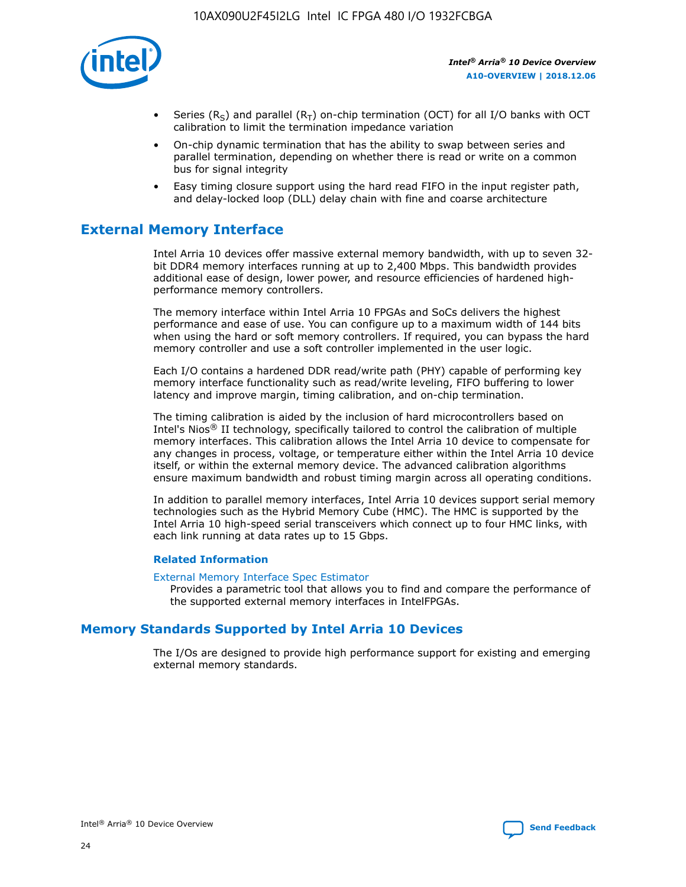

- Series (R<sub>S</sub>) and parallel (R<sub>T</sub>) on-chip termination (OCT) for all I/O banks with OCT calibration to limit the termination impedance variation
- On-chip dynamic termination that has the ability to swap between series and parallel termination, depending on whether there is read or write on a common bus for signal integrity
- Easy timing closure support using the hard read FIFO in the input register path, and delay-locked loop (DLL) delay chain with fine and coarse architecture

## **External Memory Interface**

Intel Arria 10 devices offer massive external memory bandwidth, with up to seven 32 bit DDR4 memory interfaces running at up to 2,400 Mbps. This bandwidth provides additional ease of design, lower power, and resource efficiencies of hardened highperformance memory controllers.

The memory interface within Intel Arria 10 FPGAs and SoCs delivers the highest performance and ease of use. You can configure up to a maximum width of 144 bits when using the hard or soft memory controllers. If required, you can bypass the hard memory controller and use a soft controller implemented in the user logic.

Each I/O contains a hardened DDR read/write path (PHY) capable of performing key memory interface functionality such as read/write leveling, FIFO buffering to lower latency and improve margin, timing calibration, and on-chip termination.

The timing calibration is aided by the inclusion of hard microcontrollers based on Intel's Nios® II technology, specifically tailored to control the calibration of multiple memory interfaces. This calibration allows the Intel Arria 10 device to compensate for any changes in process, voltage, or temperature either within the Intel Arria 10 device itself, or within the external memory device. The advanced calibration algorithms ensure maximum bandwidth and robust timing margin across all operating conditions.

In addition to parallel memory interfaces, Intel Arria 10 devices support serial memory technologies such as the Hybrid Memory Cube (HMC). The HMC is supported by the Intel Arria 10 high-speed serial transceivers which connect up to four HMC links, with each link running at data rates up to 15 Gbps.

#### **Related Information**

#### [External Memory Interface Spec Estimator](http://www.altera.com/technology/memory/estimator/mem-emif-index.html)

Provides a parametric tool that allows you to find and compare the performance of the supported external memory interfaces in IntelFPGAs.

## **Memory Standards Supported by Intel Arria 10 Devices**

The I/Os are designed to provide high performance support for existing and emerging external memory standards.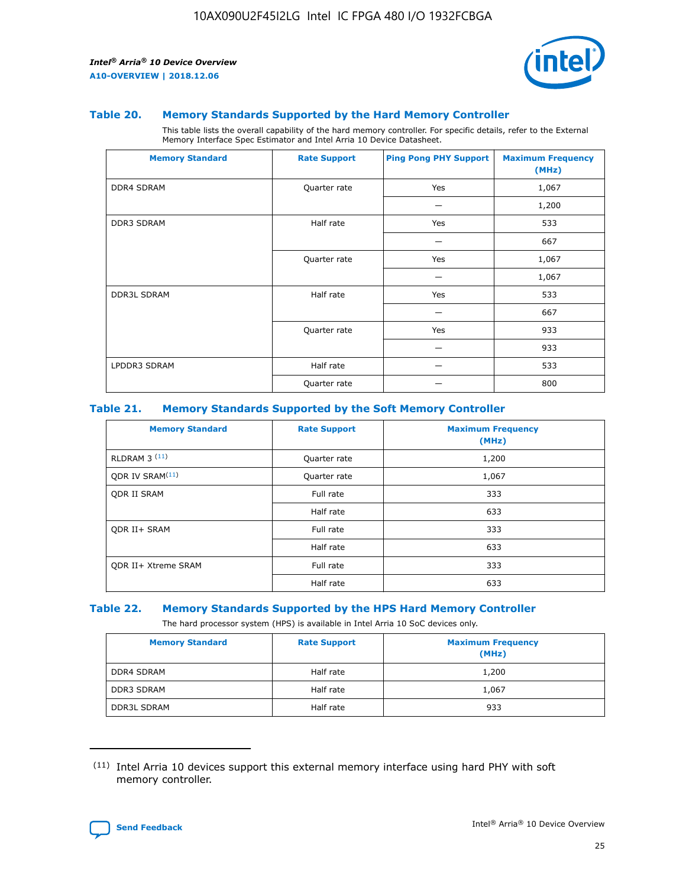

#### **Table 20. Memory Standards Supported by the Hard Memory Controller**

This table lists the overall capability of the hard memory controller. For specific details, refer to the External Memory Interface Spec Estimator and Intel Arria 10 Device Datasheet.

| <b>Memory Standard</b> | <b>Rate Support</b> | <b>Ping Pong PHY Support</b> | <b>Maximum Frequency</b><br>(MHz) |
|------------------------|---------------------|------------------------------|-----------------------------------|
| <b>DDR4 SDRAM</b>      | Quarter rate        | Yes                          | 1,067                             |
|                        |                     |                              | 1,200                             |
| <b>DDR3 SDRAM</b>      | Half rate           | Yes                          | 533                               |
|                        |                     |                              | 667                               |
|                        | Quarter rate        | Yes                          | 1,067                             |
|                        |                     |                              | 1,067                             |
| <b>DDR3L SDRAM</b>     | Half rate           | Yes                          | 533                               |
|                        |                     |                              | 667                               |
|                        | Quarter rate        | Yes                          | 933                               |
|                        |                     |                              | 933                               |
| LPDDR3 SDRAM           | Half rate           |                              | 533                               |
|                        | Quarter rate        |                              | 800                               |

#### **Table 21. Memory Standards Supported by the Soft Memory Controller**

| <b>Memory Standard</b>      | <b>Rate Support</b> | <b>Maximum Frequency</b><br>(MHz) |
|-----------------------------|---------------------|-----------------------------------|
| <b>RLDRAM 3 (11)</b>        | Quarter rate        | 1,200                             |
| ODR IV SRAM <sup>(11)</sup> | Quarter rate        | 1,067                             |
| <b>ODR II SRAM</b>          | Full rate           | 333                               |
|                             | Half rate           | 633                               |
| <b>ODR II+ SRAM</b>         | Full rate           | 333                               |
|                             | Half rate           | 633                               |
| <b>ODR II+ Xtreme SRAM</b>  | Full rate           | 333                               |
|                             | Half rate           | 633                               |

#### **Table 22. Memory Standards Supported by the HPS Hard Memory Controller**

The hard processor system (HPS) is available in Intel Arria 10 SoC devices only.

| <b>Memory Standard</b> | <b>Rate Support</b> | <b>Maximum Frequency</b><br>(MHz) |
|------------------------|---------------------|-----------------------------------|
| <b>DDR4 SDRAM</b>      | Half rate           | 1,200                             |
| <b>DDR3 SDRAM</b>      | Half rate           | 1,067                             |
| <b>DDR3L SDRAM</b>     | Half rate           | 933                               |

<sup>(11)</sup> Intel Arria 10 devices support this external memory interface using hard PHY with soft memory controller.

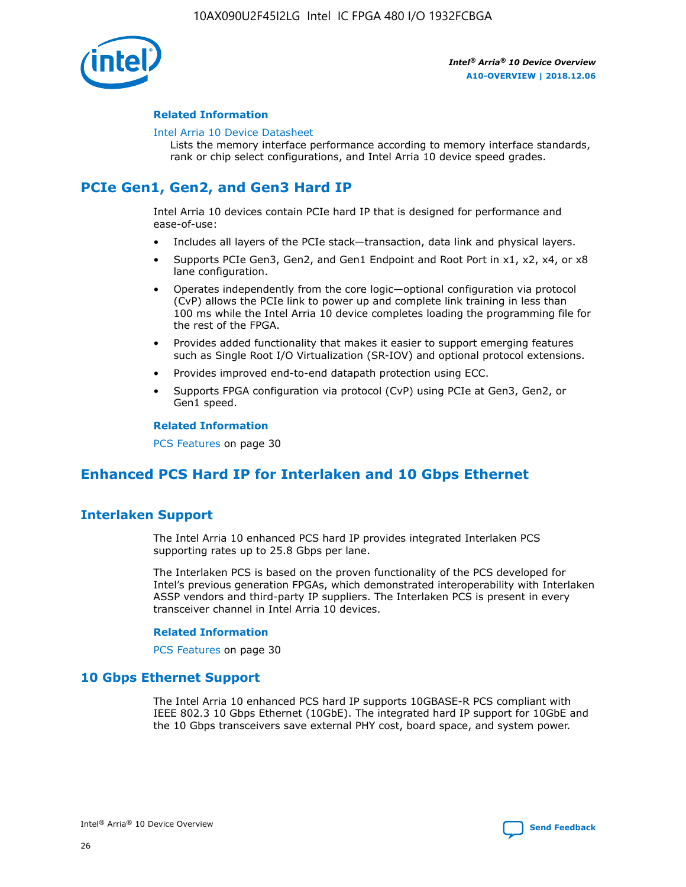

#### **Related Information**

#### [Intel Arria 10 Device Datasheet](https://www.intel.com/content/www/us/en/programmable/documentation/mcn1413182292568.html#mcn1413182153340)

Lists the memory interface performance according to memory interface standards, rank or chip select configurations, and Intel Arria 10 device speed grades.

## **PCIe Gen1, Gen2, and Gen3 Hard IP**

Intel Arria 10 devices contain PCIe hard IP that is designed for performance and ease-of-use:

- Includes all layers of the PCIe stack—transaction, data link and physical layers.
- Supports PCIe Gen3, Gen2, and Gen1 Endpoint and Root Port in x1, x2, x4, or x8 lane configuration.
- Operates independently from the core logic—optional configuration via protocol (CvP) allows the PCIe link to power up and complete link training in less than 100 ms while the Intel Arria 10 device completes loading the programming file for the rest of the FPGA.
- Provides added functionality that makes it easier to support emerging features such as Single Root I/O Virtualization (SR-IOV) and optional protocol extensions.
- Provides improved end-to-end datapath protection using ECC.
- Supports FPGA configuration via protocol (CvP) using PCIe at Gen3, Gen2, or Gen1 speed.

#### **Related Information**

PCS Features on page 30

## **Enhanced PCS Hard IP for Interlaken and 10 Gbps Ethernet**

## **Interlaken Support**

The Intel Arria 10 enhanced PCS hard IP provides integrated Interlaken PCS supporting rates up to 25.8 Gbps per lane.

The Interlaken PCS is based on the proven functionality of the PCS developed for Intel's previous generation FPGAs, which demonstrated interoperability with Interlaken ASSP vendors and third-party IP suppliers. The Interlaken PCS is present in every transceiver channel in Intel Arria 10 devices.

#### **Related Information**

PCS Features on page 30

## **10 Gbps Ethernet Support**

The Intel Arria 10 enhanced PCS hard IP supports 10GBASE-R PCS compliant with IEEE 802.3 10 Gbps Ethernet (10GbE). The integrated hard IP support for 10GbE and the 10 Gbps transceivers save external PHY cost, board space, and system power.

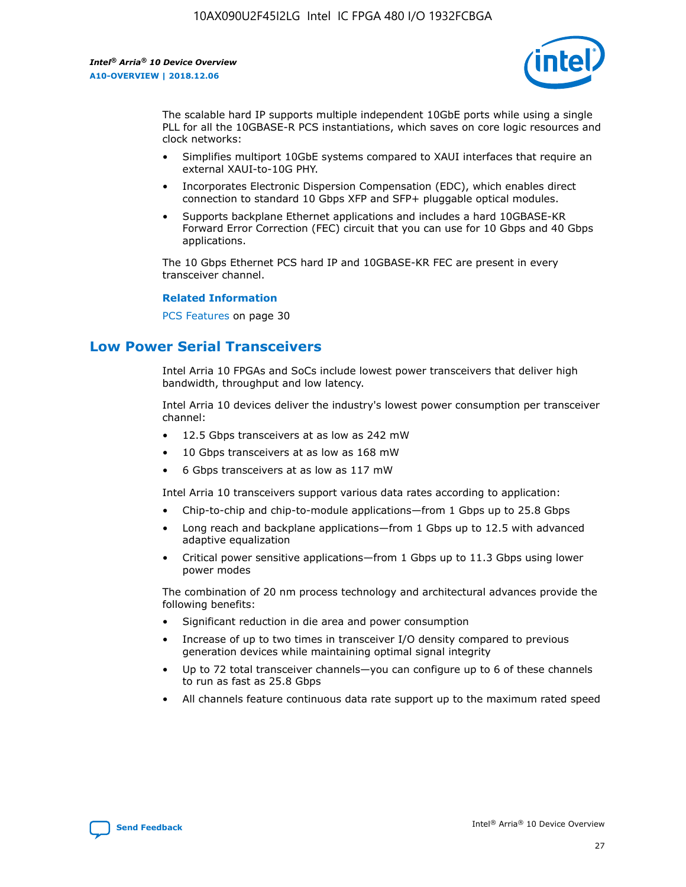

The scalable hard IP supports multiple independent 10GbE ports while using a single PLL for all the 10GBASE-R PCS instantiations, which saves on core logic resources and clock networks:

- Simplifies multiport 10GbE systems compared to XAUI interfaces that require an external XAUI-to-10G PHY.
- Incorporates Electronic Dispersion Compensation (EDC), which enables direct connection to standard 10 Gbps XFP and SFP+ pluggable optical modules.
- Supports backplane Ethernet applications and includes a hard 10GBASE-KR Forward Error Correction (FEC) circuit that you can use for 10 Gbps and 40 Gbps applications.

The 10 Gbps Ethernet PCS hard IP and 10GBASE-KR FEC are present in every transceiver channel.

#### **Related Information**

PCS Features on page 30

## **Low Power Serial Transceivers**

Intel Arria 10 FPGAs and SoCs include lowest power transceivers that deliver high bandwidth, throughput and low latency.

Intel Arria 10 devices deliver the industry's lowest power consumption per transceiver channel:

- 12.5 Gbps transceivers at as low as 242 mW
- 10 Gbps transceivers at as low as 168 mW
- 6 Gbps transceivers at as low as 117 mW

Intel Arria 10 transceivers support various data rates according to application:

- Chip-to-chip and chip-to-module applications—from 1 Gbps up to 25.8 Gbps
- Long reach and backplane applications—from 1 Gbps up to 12.5 with advanced adaptive equalization
- Critical power sensitive applications—from 1 Gbps up to 11.3 Gbps using lower power modes

The combination of 20 nm process technology and architectural advances provide the following benefits:

- Significant reduction in die area and power consumption
- Increase of up to two times in transceiver I/O density compared to previous generation devices while maintaining optimal signal integrity
- Up to 72 total transceiver channels—you can configure up to 6 of these channels to run as fast as 25.8 Gbps
- All channels feature continuous data rate support up to the maximum rated speed

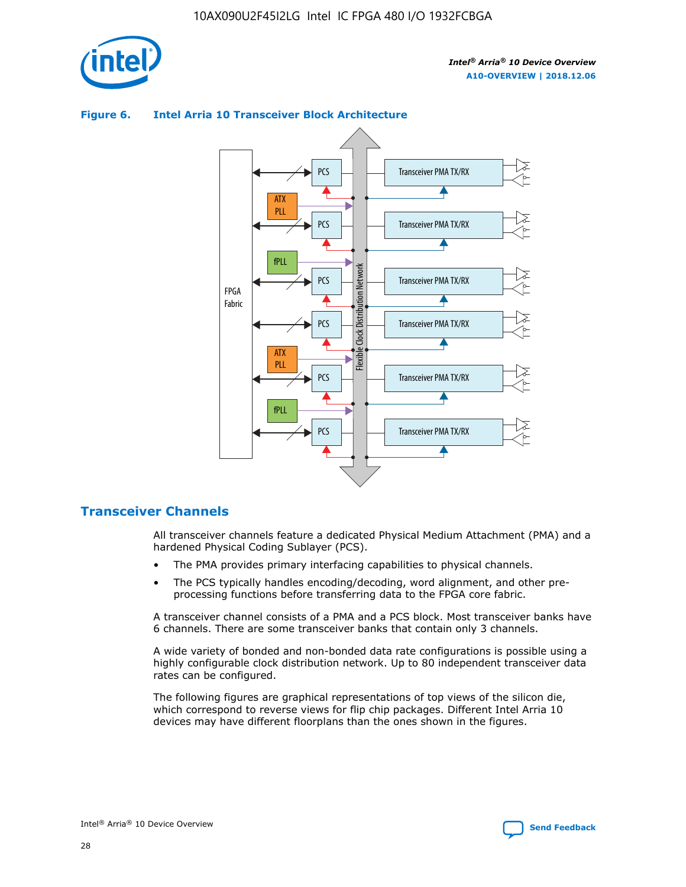

## Transceiver PMA TX/RX PCS ATX PLL Transceiver PMA TX/RX PCS fPLL Network Flexible Clock Distribution Network PCS Transceiver PMA TX/RX FPGA **Clock Distribution** Fabric PCS Transceiver PMA TX/RX ATX Flexible PLL PCS Transceiver PMA TX/RX ▲ fPLL Transceiver PMA TX/RX PCS 4

## **Figure 6. Intel Arria 10 Transceiver Block Architecture**

## **Transceiver Channels**

All transceiver channels feature a dedicated Physical Medium Attachment (PMA) and a hardened Physical Coding Sublayer (PCS).

- The PMA provides primary interfacing capabilities to physical channels.
- The PCS typically handles encoding/decoding, word alignment, and other preprocessing functions before transferring data to the FPGA core fabric.

A transceiver channel consists of a PMA and a PCS block. Most transceiver banks have 6 channels. There are some transceiver banks that contain only 3 channels.

A wide variety of bonded and non-bonded data rate configurations is possible using a highly configurable clock distribution network. Up to 80 independent transceiver data rates can be configured.

The following figures are graphical representations of top views of the silicon die, which correspond to reverse views for flip chip packages. Different Intel Arria 10 devices may have different floorplans than the ones shown in the figures.

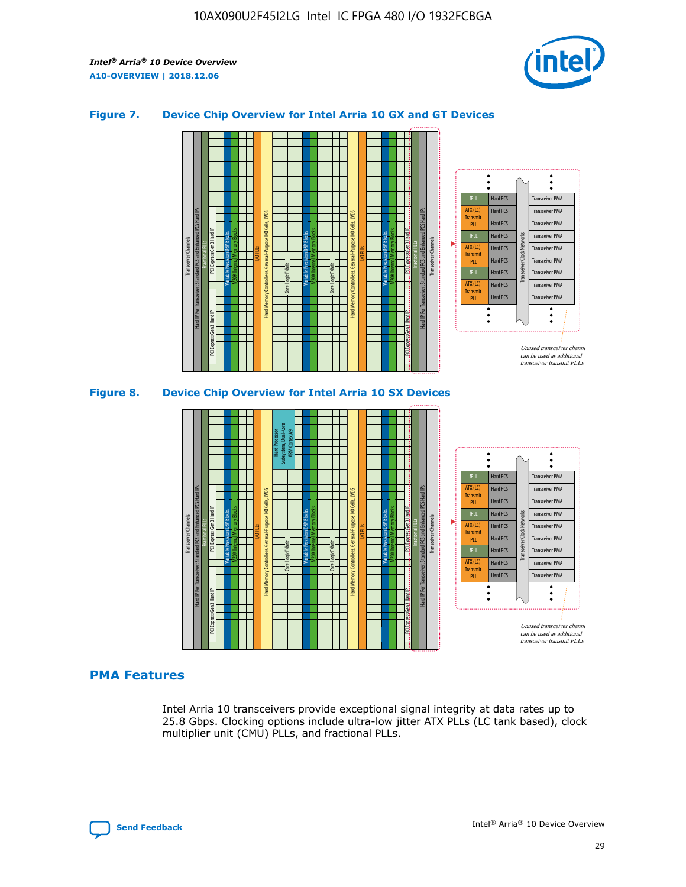

### **Figure 7. Device Chip Overview for Intel Arria 10 GX and GT Devices**





#### **PMA Features**

Intel Arria 10 transceivers provide exceptional signal integrity at data rates up to 25.8 Gbps. Clocking options include ultra-low jitter ATX PLLs (LC tank based), clock multiplier unit (CMU) PLLs, and fractional PLLs.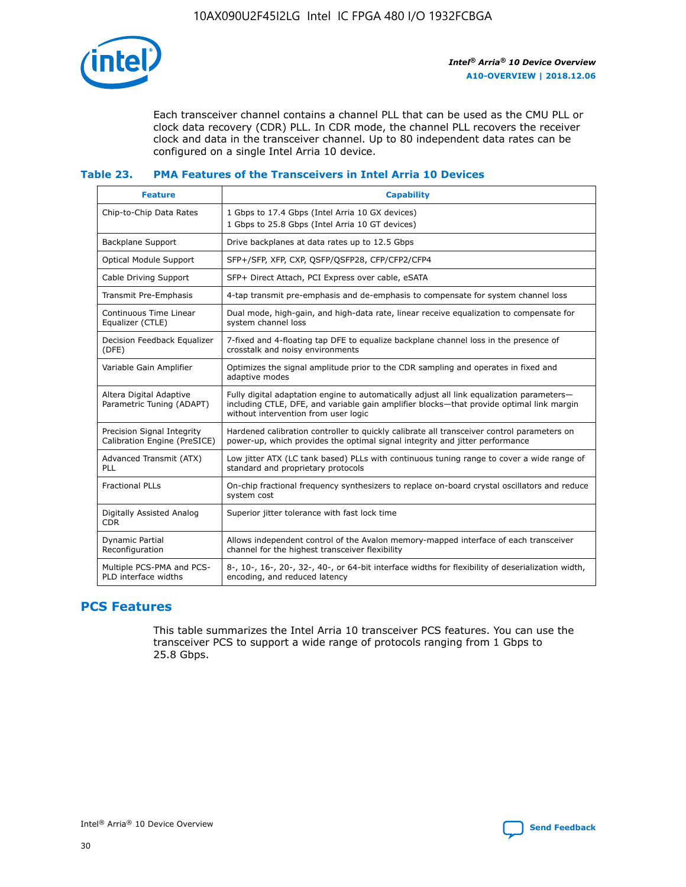

Each transceiver channel contains a channel PLL that can be used as the CMU PLL or clock data recovery (CDR) PLL. In CDR mode, the channel PLL recovers the receiver clock and data in the transceiver channel. Up to 80 independent data rates can be configured on a single Intel Arria 10 device.

## **Table 23. PMA Features of the Transceivers in Intel Arria 10 Devices**

| <b>Feature</b>                                             | <b>Capability</b>                                                                                                                                                                                                             |
|------------------------------------------------------------|-------------------------------------------------------------------------------------------------------------------------------------------------------------------------------------------------------------------------------|
| Chip-to-Chip Data Rates                                    | 1 Gbps to 17.4 Gbps (Intel Arria 10 GX devices)<br>1 Gbps to 25.8 Gbps (Intel Arria 10 GT devices)                                                                                                                            |
| Backplane Support                                          | Drive backplanes at data rates up to 12.5 Gbps                                                                                                                                                                                |
| <b>Optical Module Support</b>                              | SFP+/SFP, XFP, CXP, QSFP/QSFP28, CFP/CFP2/CFP4                                                                                                                                                                                |
| Cable Driving Support                                      | SFP+ Direct Attach, PCI Express over cable, eSATA                                                                                                                                                                             |
| Transmit Pre-Emphasis                                      | 4-tap transmit pre-emphasis and de-emphasis to compensate for system channel loss                                                                                                                                             |
| Continuous Time Linear<br>Equalizer (CTLE)                 | Dual mode, high-gain, and high-data rate, linear receive equalization to compensate for<br>system channel loss                                                                                                                |
| Decision Feedback Equalizer<br>(DFE)                       | 7-fixed and 4-floating tap DFE to equalize backplane channel loss in the presence of<br>crosstalk and noisy environments                                                                                                      |
| Variable Gain Amplifier                                    | Optimizes the signal amplitude prior to the CDR sampling and operates in fixed and<br>adaptive modes                                                                                                                          |
| Altera Digital Adaptive<br>Parametric Tuning (ADAPT)       | Fully digital adaptation engine to automatically adjust all link equalization parameters-<br>including CTLE, DFE, and variable gain amplifier blocks—that provide optimal link margin<br>without intervention from user logic |
| Precision Signal Integrity<br>Calibration Engine (PreSICE) | Hardened calibration controller to quickly calibrate all transceiver control parameters on<br>power-up, which provides the optimal signal integrity and jitter performance                                                    |
| Advanced Transmit (ATX)<br><b>PLL</b>                      | Low jitter ATX (LC tank based) PLLs with continuous tuning range to cover a wide range of<br>standard and proprietary protocols                                                                                               |
| <b>Fractional PLLs</b>                                     | On-chip fractional frequency synthesizers to replace on-board crystal oscillators and reduce<br>system cost                                                                                                                   |
| Digitally Assisted Analog<br><b>CDR</b>                    | Superior jitter tolerance with fast lock time                                                                                                                                                                                 |
| Dynamic Partial<br>Reconfiguration                         | Allows independent control of the Avalon memory-mapped interface of each transceiver<br>channel for the highest transceiver flexibility                                                                                       |
| Multiple PCS-PMA and PCS-<br>PLD interface widths          | 8-, 10-, 16-, 20-, 32-, 40-, or 64-bit interface widths for flexibility of deserialization width,<br>encoding, and reduced latency                                                                                            |

## **PCS Features**

This table summarizes the Intel Arria 10 transceiver PCS features. You can use the transceiver PCS to support a wide range of protocols ranging from 1 Gbps to 25.8 Gbps.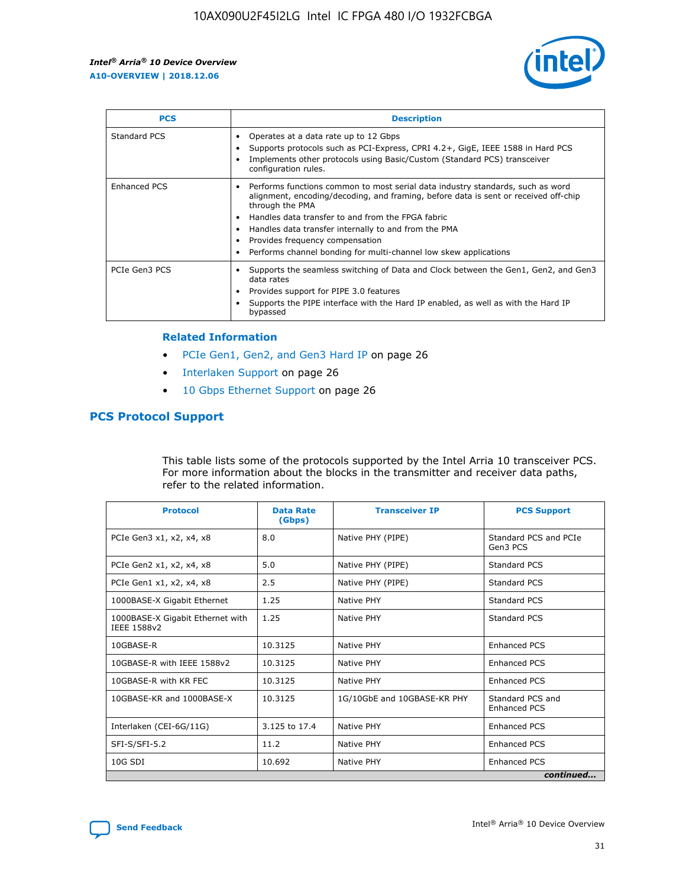

| <b>PCS</b>    | <b>Description</b>                                                                                                                                                                                                                                                                                                                                                                                             |
|---------------|----------------------------------------------------------------------------------------------------------------------------------------------------------------------------------------------------------------------------------------------------------------------------------------------------------------------------------------------------------------------------------------------------------------|
| Standard PCS  | Operates at a data rate up to 12 Gbps<br>Supports protocols such as PCI-Express, CPRI 4.2+, GigE, IEEE 1588 in Hard PCS<br>Implements other protocols using Basic/Custom (Standard PCS) transceiver<br>configuration rules.                                                                                                                                                                                    |
| Enhanced PCS  | Performs functions common to most serial data industry standards, such as word<br>alignment, encoding/decoding, and framing, before data is sent or received off-chip<br>through the PMA<br>• Handles data transfer to and from the FPGA fabric<br>Handles data transfer internally to and from the PMA<br>Provides frequency compensation<br>Performs channel bonding for multi-channel low skew applications |
| PCIe Gen3 PCS | Supports the seamless switching of Data and Clock between the Gen1, Gen2, and Gen3<br>data rates<br>Provides support for PIPE 3.0 features<br>Supports the PIPE interface with the Hard IP enabled, as well as with the Hard IP<br>bypassed                                                                                                                                                                    |

#### **Related Information**

- PCIe Gen1, Gen2, and Gen3 Hard IP on page 26
- Interlaken Support on page 26
- 10 Gbps Ethernet Support on page 26

## **PCS Protocol Support**

This table lists some of the protocols supported by the Intel Arria 10 transceiver PCS. For more information about the blocks in the transmitter and receiver data paths, refer to the related information.

| <b>Protocol</b>                                 | <b>Data Rate</b><br>(Gbps) | <b>Transceiver IP</b>       | <b>PCS Support</b>                      |
|-------------------------------------------------|----------------------------|-----------------------------|-----------------------------------------|
| PCIe Gen3 x1, x2, x4, x8                        | 8.0                        | Native PHY (PIPE)           | Standard PCS and PCIe<br>Gen3 PCS       |
| PCIe Gen2 x1, x2, x4, x8                        | 5.0                        | Native PHY (PIPE)           | <b>Standard PCS</b>                     |
| PCIe Gen1 x1, x2, x4, x8                        | 2.5                        | Native PHY (PIPE)           | Standard PCS                            |
| 1000BASE-X Gigabit Ethernet                     | 1.25                       | Native PHY                  | <b>Standard PCS</b>                     |
| 1000BASE-X Gigabit Ethernet with<br>IEEE 1588v2 | 1.25                       | Native PHY                  | Standard PCS                            |
| 10GBASE-R                                       | 10.3125                    | Native PHY                  | <b>Enhanced PCS</b>                     |
| 10GBASE-R with IEEE 1588v2                      | 10.3125                    | Native PHY                  | <b>Enhanced PCS</b>                     |
| 10GBASE-R with KR FEC                           | 10.3125                    | Native PHY                  | <b>Enhanced PCS</b>                     |
| 10GBASE-KR and 1000BASE-X                       | 10.3125                    | 1G/10GbE and 10GBASE-KR PHY | Standard PCS and<br><b>Enhanced PCS</b> |
| Interlaken (CEI-6G/11G)                         | 3.125 to 17.4              | Native PHY                  | <b>Enhanced PCS</b>                     |
| SFI-S/SFI-5.2                                   | 11.2                       | Native PHY                  | <b>Enhanced PCS</b>                     |
| $10G$ SDI                                       | 10.692                     | Native PHY                  | <b>Enhanced PCS</b>                     |
|                                                 |                            |                             | continued                               |

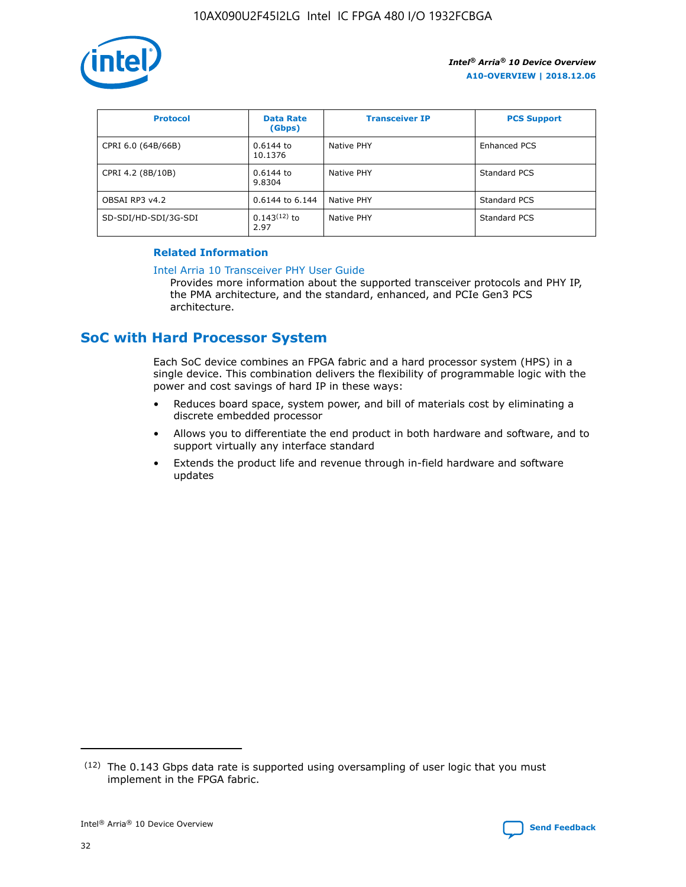

| <b>Protocol</b>      | <b>Data Rate</b><br>(Gbps) | <b>Transceiver IP</b> | <b>PCS Support</b> |
|----------------------|----------------------------|-----------------------|--------------------|
| CPRI 6.0 (64B/66B)   | 0.6144 to<br>10.1376       | Native PHY            | Enhanced PCS       |
| CPRI 4.2 (8B/10B)    | $0.6144$ to<br>9.8304      | Native PHY            | Standard PCS       |
| OBSAI RP3 v4.2       | 0.6144 to 6.144            | Native PHY            | Standard PCS       |
| SD-SDI/HD-SDI/3G-SDI | $0.143(12)$ to<br>2.97     | Native PHY            | Standard PCS       |

## **Related Information**

#### [Intel Arria 10 Transceiver PHY User Guide](https://www.intel.com/content/www/us/en/programmable/documentation/nik1398707230472.html#nik1398707091164)

Provides more information about the supported transceiver protocols and PHY IP, the PMA architecture, and the standard, enhanced, and PCIe Gen3 PCS architecture.

## **SoC with Hard Processor System**

Each SoC device combines an FPGA fabric and a hard processor system (HPS) in a single device. This combination delivers the flexibility of programmable logic with the power and cost savings of hard IP in these ways:

- Reduces board space, system power, and bill of materials cost by eliminating a discrete embedded processor
- Allows you to differentiate the end product in both hardware and software, and to support virtually any interface standard
- Extends the product life and revenue through in-field hardware and software updates

 $(12)$  The 0.143 Gbps data rate is supported using oversampling of user logic that you must implement in the FPGA fabric.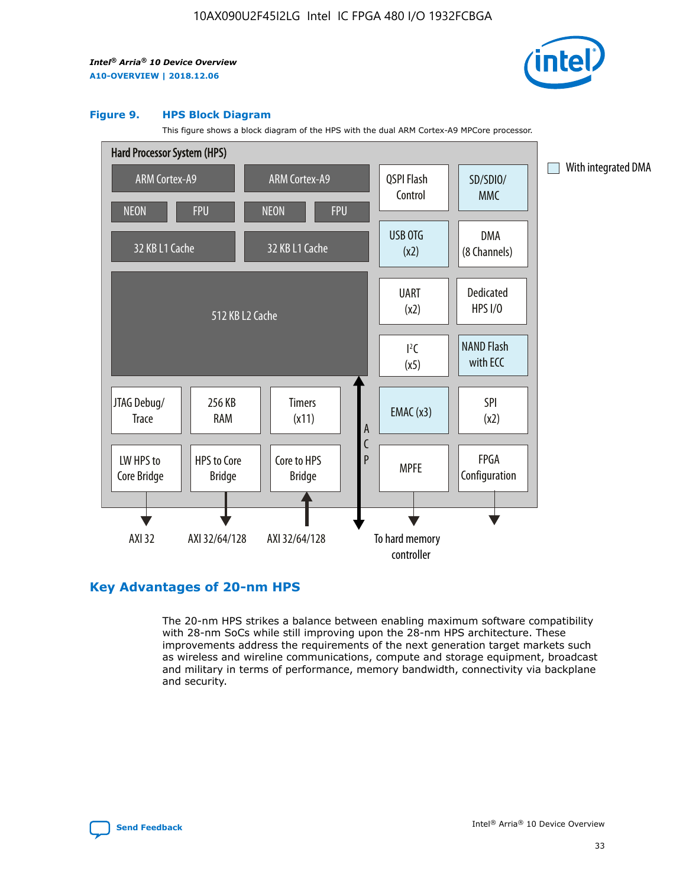

#### **Figure 9. HPS Block Diagram**

This figure shows a block diagram of the HPS with the dual ARM Cortex-A9 MPCore processor.



## **Key Advantages of 20-nm HPS**

The 20-nm HPS strikes a balance between enabling maximum software compatibility with 28-nm SoCs while still improving upon the 28-nm HPS architecture. These improvements address the requirements of the next generation target markets such as wireless and wireline communications, compute and storage equipment, broadcast and military in terms of performance, memory bandwidth, connectivity via backplane and security.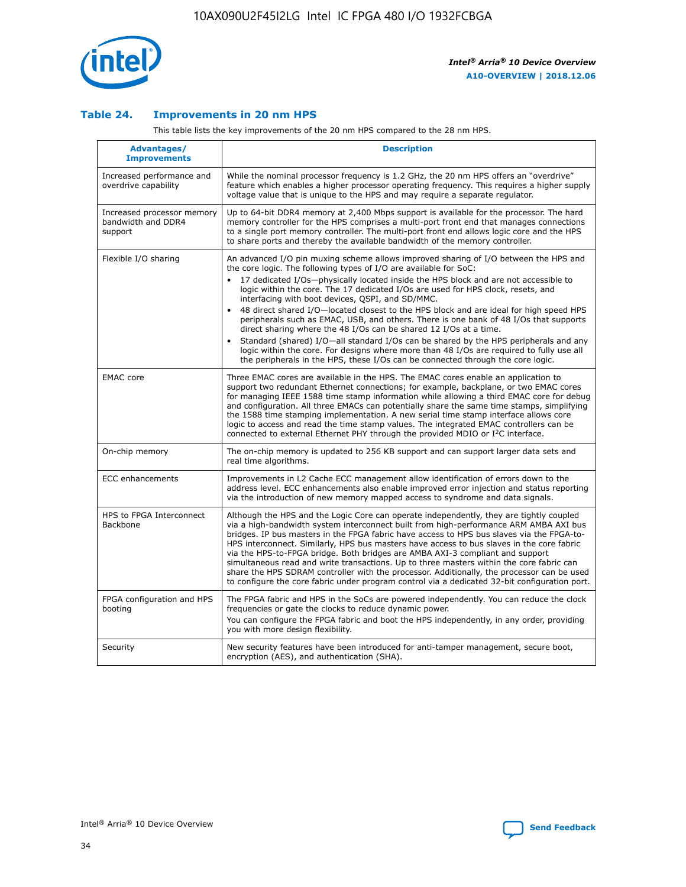

## **Table 24. Improvements in 20 nm HPS**

This table lists the key improvements of the 20 nm HPS compared to the 28 nm HPS.

| Advantages/<br><b>Improvements</b>                          | <b>Description</b>                                                                                                                                                                                                                                                                                                                                                                                                                                                                                                                                                                                                                                                                                                                                                                                                                                                                                                                                |
|-------------------------------------------------------------|---------------------------------------------------------------------------------------------------------------------------------------------------------------------------------------------------------------------------------------------------------------------------------------------------------------------------------------------------------------------------------------------------------------------------------------------------------------------------------------------------------------------------------------------------------------------------------------------------------------------------------------------------------------------------------------------------------------------------------------------------------------------------------------------------------------------------------------------------------------------------------------------------------------------------------------------------|
| Increased performance and<br>overdrive capability           | While the nominal processor frequency is 1.2 GHz, the 20 nm HPS offers an "overdrive"<br>feature which enables a higher processor operating frequency. This requires a higher supply<br>voltage value that is unique to the HPS and may require a separate regulator.                                                                                                                                                                                                                                                                                                                                                                                                                                                                                                                                                                                                                                                                             |
| Increased processor memory<br>bandwidth and DDR4<br>support | Up to 64-bit DDR4 memory at 2,400 Mbps support is available for the processor. The hard<br>memory controller for the HPS comprises a multi-port front end that manages connections<br>to a single port memory controller. The multi-port front end allows logic core and the HPS<br>to share ports and thereby the available bandwidth of the memory controller.                                                                                                                                                                                                                                                                                                                                                                                                                                                                                                                                                                                  |
| Flexible I/O sharing                                        | An advanced I/O pin muxing scheme allows improved sharing of I/O between the HPS and<br>the core logic. The following types of I/O are available for SoC:<br>17 dedicated I/Os-physically located inside the HPS block and are not accessible to<br>$\bullet$<br>logic within the core. The 17 dedicated I/Os are used for HPS clock, resets, and<br>interfacing with boot devices, QSPI, and SD/MMC.<br>48 direct shared I/O-located closest to the HPS block and are ideal for high speed HPS<br>$\bullet$<br>peripherals such as EMAC, USB, and others. There is one bank of 48 I/Os that supports<br>direct sharing where the 48 I/Os can be shared 12 I/Os at a time.<br>Standard (shared) I/O-all standard I/Os can be shared by the HPS peripherals and any<br>logic within the core. For designs where more than 48 I/Os are reguired to fully use all<br>the peripherals in the HPS, these I/Os can be connected through the core logic. |
| <b>EMAC</b> core                                            | Three EMAC cores are available in the HPS. The EMAC cores enable an application to<br>support two redundant Ethernet connections; for example, backplane, or two EMAC cores<br>for managing IEEE 1588 time stamp information while allowing a third EMAC core for debug<br>and configuration. All three EMACs can potentially share the same time stamps, simplifying<br>the 1588 time stamping implementation. A new serial time stamp interface allows core<br>logic to access and read the time stamp values. The integrated EMAC controllers can be<br>connected to external Ethernet PHY through the provided MDIO or I <sup>2</sup> C interface.                                                                                                                                                                                                                                                                                            |
| On-chip memory                                              | The on-chip memory is updated to 256 KB support and can support larger data sets and<br>real time algorithms.                                                                                                                                                                                                                                                                                                                                                                                                                                                                                                                                                                                                                                                                                                                                                                                                                                     |
| <b>ECC</b> enhancements                                     | Improvements in L2 Cache ECC management allow identification of errors down to the<br>address level. ECC enhancements also enable improved error injection and status reporting<br>via the introduction of new memory mapped access to syndrome and data signals.                                                                                                                                                                                                                                                                                                                                                                                                                                                                                                                                                                                                                                                                                 |
| HPS to FPGA Interconnect<br>Backbone                        | Although the HPS and the Logic Core can operate independently, they are tightly coupled<br>via a high-bandwidth system interconnect built from high-performance ARM AMBA AXI bus<br>bridges. IP bus masters in the FPGA fabric have access to HPS bus slaves via the FPGA-to-<br>HPS interconnect. Similarly, HPS bus masters have access to bus slaves in the core fabric<br>via the HPS-to-FPGA bridge. Both bridges are AMBA AXI-3 compliant and support<br>simultaneous read and write transactions. Up to three masters within the core fabric can<br>share the HPS SDRAM controller with the processor. Additionally, the processor can be used<br>to configure the core fabric under program control via a dedicated 32-bit configuration port.                                                                                                                                                                                            |
| FPGA configuration and HPS<br>booting                       | The FPGA fabric and HPS in the SoCs are powered independently. You can reduce the clock<br>frequencies or gate the clocks to reduce dynamic power.<br>You can configure the FPGA fabric and boot the HPS independently, in any order, providing<br>you with more design flexibility.                                                                                                                                                                                                                                                                                                                                                                                                                                                                                                                                                                                                                                                              |
| Security                                                    | New security features have been introduced for anti-tamper management, secure boot,<br>encryption (AES), and authentication (SHA).                                                                                                                                                                                                                                                                                                                                                                                                                                                                                                                                                                                                                                                                                                                                                                                                                |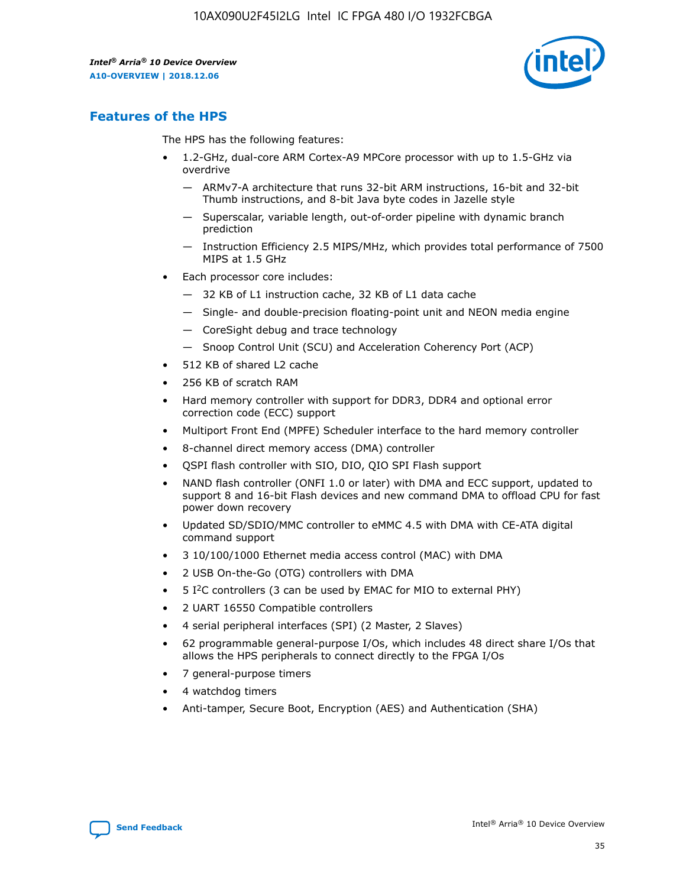

## **Features of the HPS**

The HPS has the following features:

- 1.2-GHz, dual-core ARM Cortex-A9 MPCore processor with up to 1.5-GHz via overdrive
	- ARMv7-A architecture that runs 32-bit ARM instructions, 16-bit and 32-bit Thumb instructions, and 8-bit Java byte codes in Jazelle style
	- Superscalar, variable length, out-of-order pipeline with dynamic branch prediction
	- Instruction Efficiency 2.5 MIPS/MHz, which provides total performance of 7500 MIPS at 1.5 GHz
- Each processor core includes:
	- 32 KB of L1 instruction cache, 32 KB of L1 data cache
	- Single- and double-precision floating-point unit and NEON media engine
	- CoreSight debug and trace technology
	- Snoop Control Unit (SCU) and Acceleration Coherency Port (ACP)
- 512 KB of shared L2 cache
- 256 KB of scratch RAM
- Hard memory controller with support for DDR3, DDR4 and optional error correction code (ECC) support
- Multiport Front End (MPFE) Scheduler interface to the hard memory controller
- 8-channel direct memory access (DMA) controller
- QSPI flash controller with SIO, DIO, QIO SPI Flash support
- NAND flash controller (ONFI 1.0 or later) with DMA and ECC support, updated to support 8 and 16-bit Flash devices and new command DMA to offload CPU for fast power down recovery
- Updated SD/SDIO/MMC controller to eMMC 4.5 with DMA with CE-ATA digital command support
- 3 10/100/1000 Ethernet media access control (MAC) with DMA
- 2 USB On-the-Go (OTG) controllers with DMA
- $\bullet$  5 I<sup>2</sup>C controllers (3 can be used by EMAC for MIO to external PHY)
- 2 UART 16550 Compatible controllers
- 4 serial peripheral interfaces (SPI) (2 Master, 2 Slaves)
- 62 programmable general-purpose I/Os, which includes 48 direct share I/Os that allows the HPS peripherals to connect directly to the FPGA I/Os
- 7 general-purpose timers
- 4 watchdog timers
- Anti-tamper, Secure Boot, Encryption (AES) and Authentication (SHA)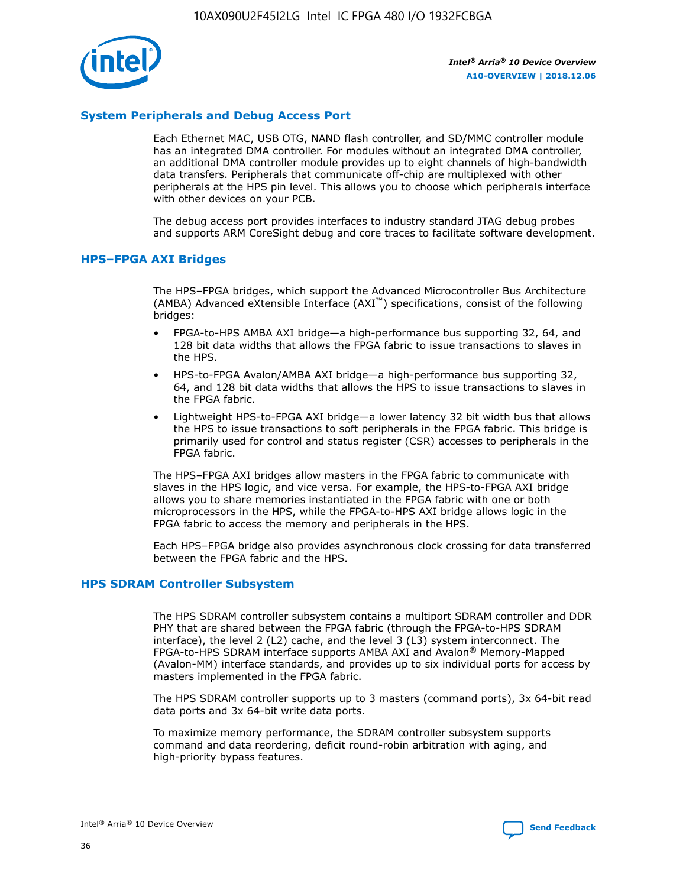

## **System Peripherals and Debug Access Port**

Each Ethernet MAC, USB OTG, NAND flash controller, and SD/MMC controller module has an integrated DMA controller. For modules without an integrated DMA controller, an additional DMA controller module provides up to eight channels of high-bandwidth data transfers. Peripherals that communicate off-chip are multiplexed with other peripherals at the HPS pin level. This allows you to choose which peripherals interface with other devices on your PCB.

The debug access port provides interfaces to industry standard JTAG debug probes and supports ARM CoreSight debug and core traces to facilitate software development.

## **HPS–FPGA AXI Bridges**

The HPS–FPGA bridges, which support the Advanced Microcontroller Bus Architecture (AMBA) Advanced eXtensible Interface (AXI™) specifications, consist of the following bridges:

- FPGA-to-HPS AMBA AXI bridge—a high-performance bus supporting 32, 64, and 128 bit data widths that allows the FPGA fabric to issue transactions to slaves in the HPS.
- HPS-to-FPGA Avalon/AMBA AXI bridge—a high-performance bus supporting 32, 64, and 128 bit data widths that allows the HPS to issue transactions to slaves in the FPGA fabric.
- Lightweight HPS-to-FPGA AXI bridge—a lower latency 32 bit width bus that allows the HPS to issue transactions to soft peripherals in the FPGA fabric. This bridge is primarily used for control and status register (CSR) accesses to peripherals in the FPGA fabric.

The HPS–FPGA AXI bridges allow masters in the FPGA fabric to communicate with slaves in the HPS logic, and vice versa. For example, the HPS-to-FPGA AXI bridge allows you to share memories instantiated in the FPGA fabric with one or both microprocessors in the HPS, while the FPGA-to-HPS AXI bridge allows logic in the FPGA fabric to access the memory and peripherals in the HPS.

Each HPS–FPGA bridge also provides asynchronous clock crossing for data transferred between the FPGA fabric and the HPS.

#### **HPS SDRAM Controller Subsystem**

The HPS SDRAM controller subsystem contains a multiport SDRAM controller and DDR PHY that are shared between the FPGA fabric (through the FPGA-to-HPS SDRAM interface), the level 2 (L2) cache, and the level 3 (L3) system interconnect. The FPGA-to-HPS SDRAM interface supports AMBA AXI and Avalon® Memory-Mapped (Avalon-MM) interface standards, and provides up to six individual ports for access by masters implemented in the FPGA fabric.

The HPS SDRAM controller supports up to 3 masters (command ports), 3x 64-bit read data ports and 3x 64-bit write data ports.

To maximize memory performance, the SDRAM controller subsystem supports command and data reordering, deficit round-robin arbitration with aging, and high-priority bypass features.

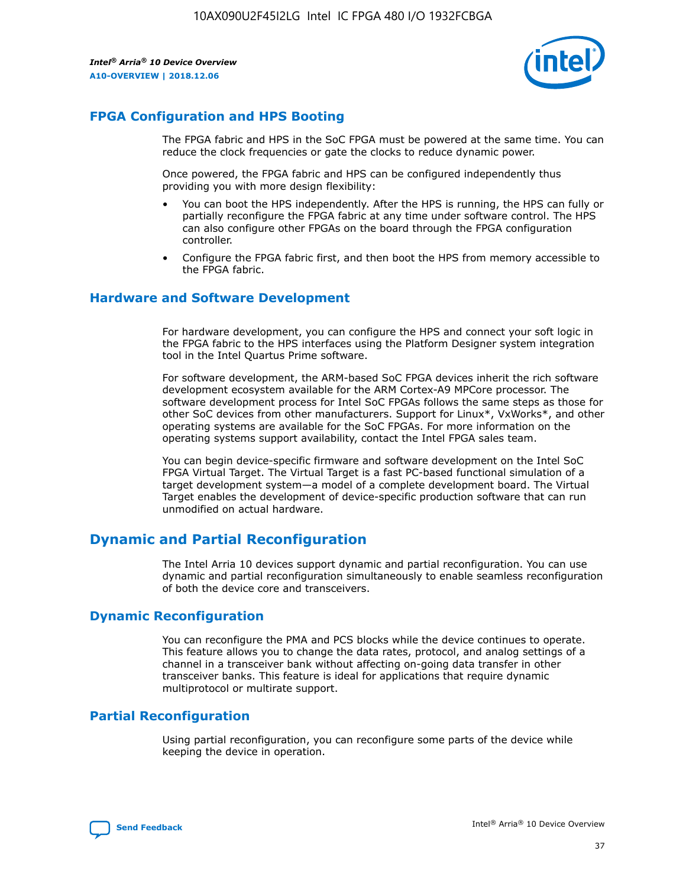

## **FPGA Configuration and HPS Booting**

The FPGA fabric and HPS in the SoC FPGA must be powered at the same time. You can reduce the clock frequencies or gate the clocks to reduce dynamic power.

Once powered, the FPGA fabric and HPS can be configured independently thus providing you with more design flexibility:

- You can boot the HPS independently. After the HPS is running, the HPS can fully or partially reconfigure the FPGA fabric at any time under software control. The HPS can also configure other FPGAs on the board through the FPGA configuration controller.
- Configure the FPGA fabric first, and then boot the HPS from memory accessible to the FPGA fabric.

## **Hardware and Software Development**

For hardware development, you can configure the HPS and connect your soft logic in the FPGA fabric to the HPS interfaces using the Platform Designer system integration tool in the Intel Quartus Prime software.

For software development, the ARM-based SoC FPGA devices inherit the rich software development ecosystem available for the ARM Cortex-A9 MPCore processor. The software development process for Intel SoC FPGAs follows the same steps as those for other SoC devices from other manufacturers. Support for Linux\*, VxWorks\*, and other operating systems are available for the SoC FPGAs. For more information on the operating systems support availability, contact the Intel FPGA sales team.

You can begin device-specific firmware and software development on the Intel SoC FPGA Virtual Target. The Virtual Target is a fast PC-based functional simulation of a target development system—a model of a complete development board. The Virtual Target enables the development of device-specific production software that can run unmodified on actual hardware.

## **Dynamic and Partial Reconfiguration**

The Intel Arria 10 devices support dynamic and partial reconfiguration. You can use dynamic and partial reconfiguration simultaneously to enable seamless reconfiguration of both the device core and transceivers.

## **Dynamic Reconfiguration**

You can reconfigure the PMA and PCS blocks while the device continues to operate. This feature allows you to change the data rates, protocol, and analog settings of a channel in a transceiver bank without affecting on-going data transfer in other transceiver banks. This feature is ideal for applications that require dynamic multiprotocol or multirate support.

## **Partial Reconfiguration**

Using partial reconfiguration, you can reconfigure some parts of the device while keeping the device in operation.

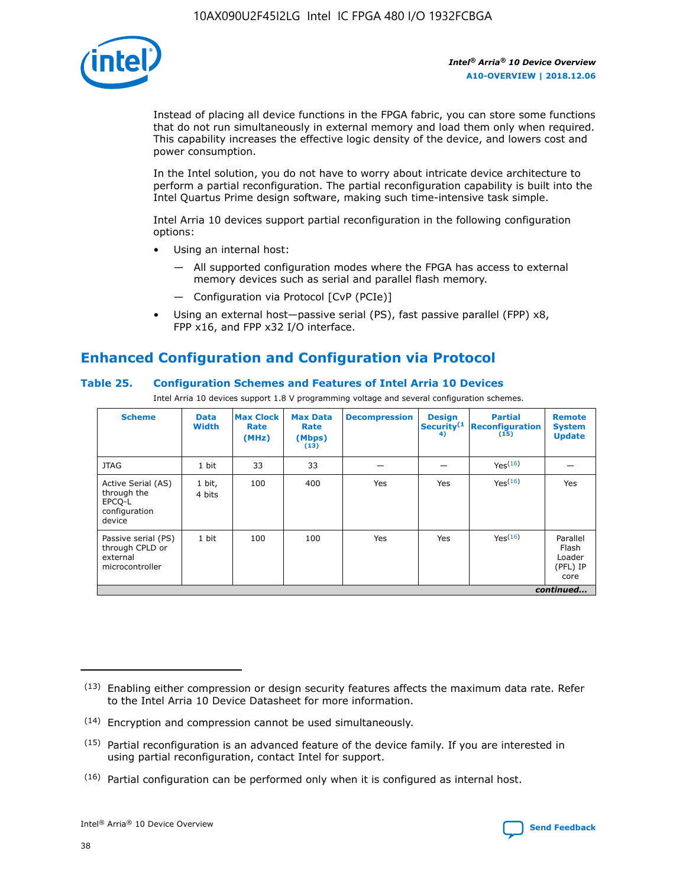

Instead of placing all device functions in the FPGA fabric, you can store some functions that do not run simultaneously in external memory and load them only when required. This capability increases the effective logic density of the device, and lowers cost and power consumption.

In the Intel solution, you do not have to worry about intricate device architecture to perform a partial reconfiguration. The partial reconfiguration capability is built into the Intel Quartus Prime design software, making such time-intensive task simple.

Intel Arria 10 devices support partial reconfiguration in the following configuration options:

- Using an internal host:
	- All supported configuration modes where the FPGA has access to external memory devices such as serial and parallel flash memory.
	- Configuration via Protocol [CvP (PCIe)]
- Using an external host—passive serial (PS), fast passive parallel (FPP) x8, FPP x16, and FPP x32 I/O interface.

# **Enhanced Configuration and Configuration via Protocol**

## **Table 25. Configuration Schemes and Features of Intel Arria 10 Devices**

Intel Arria 10 devices support 1.8 V programming voltage and several configuration schemes.

| <b>Scheme</b>                                                          | <b>Data</b><br><b>Width</b> | <b>Max Clock</b><br>Rate<br>(MHz) | <b>Max Data</b><br>Rate<br>(Mbps)<br>(13) | <b>Decompression</b> | <b>Design</b><br>Security <sup>(1</sup><br>4) | <b>Partial</b><br><b>Reconfiguration</b><br>(15) | <b>Remote</b><br><b>System</b><br><b>Update</b> |
|------------------------------------------------------------------------|-----------------------------|-----------------------------------|-------------------------------------------|----------------------|-----------------------------------------------|--------------------------------------------------|-------------------------------------------------|
| <b>JTAG</b>                                                            | 1 bit                       | 33                                | 33                                        |                      |                                               | Yes(16)                                          |                                                 |
| Active Serial (AS)<br>through the<br>EPCO-L<br>configuration<br>device | 1 bit,<br>4 bits            | 100                               | 400                                       | Yes                  | Yes                                           | $Y_{PS}(16)$                                     | Yes                                             |
| Passive serial (PS)<br>through CPLD or<br>external<br>microcontroller  | 1 bit                       | 100                               | 100                                       | Yes                  | Yes                                           | Yes(16)                                          | Parallel<br>Flash<br>Loader<br>(PFL) IP<br>core |
|                                                                        |                             |                                   |                                           |                      |                                               |                                                  | continued                                       |

<sup>(13)</sup> Enabling either compression or design security features affects the maximum data rate. Refer to the Intel Arria 10 Device Datasheet for more information.

<sup>(14)</sup> Encryption and compression cannot be used simultaneously.

 $(15)$  Partial reconfiguration is an advanced feature of the device family. If you are interested in using partial reconfiguration, contact Intel for support.

 $(16)$  Partial configuration can be performed only when it is configured as internal host.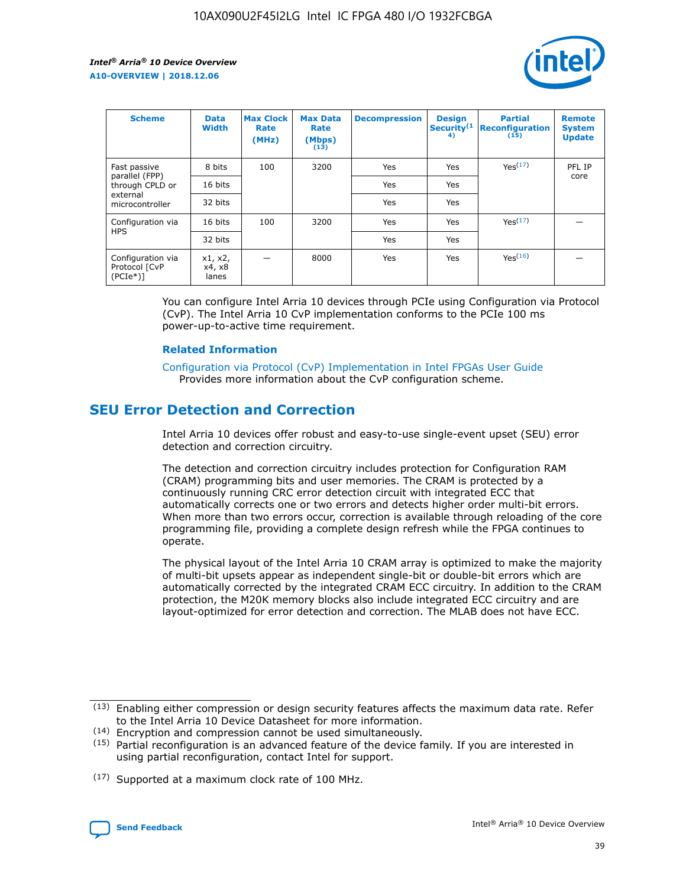

| <b>Scheme</b>                                    | <b>Data</b><br><b>Width</b> | <b>Max Clock</b><br>Rate<br>(MHz) | <b>Max Data</b><br>Rate<br>(Mbps)<br>(13) | <b>Decompression</b> | <b>Design</b><br>Security <sup>(1</sup><br>4) | <b>Partial</b><br><b>Reconfiguration</b><br>(15) | <b>Remote</b><br><b>System</b><br><b>Update</b> |
|--------------------------------------------------|-----------------------------|-----------------------------------|-------------------------------------------|----------------------|-----------------------------------------------|--------------------------------------------------|-------------------------------------------------|
| Fast passive                                     | 8 bits                      | 100                               | 3200                                      | <b>Yes</b>           | Yes                                           | Yes(17)                                          | PFL IP                                          |
| parallel (FPP)<br>through CPLD or                | 16 bits                     |                                   |                                           | Yes                  | Yes                                           |                                                  | core                                            |
| external<br>microcontroller                      | 32 bits                     |                                   |                                           | Yes                  | Yes                                           |                                                  |                                                 |
| Configuration via                                | 16 bits                     | 100                               | 3200                                      | Yes                  | Yes                                           | Yes <sup>(17)</sup>                              |                                                 |
| <b>HPS</b>                                       | 32 bits                     |                                   |                                           | Yes                  | Yes                                           |                                                  |                                                 |
| Configuration via<br>Protocol [CvP<br>$(PCIe^*)$ | x1, x2,<br>x4, x8<br>lanes  |                                   | 8000                                      | Yes                  | Yes                                           | Yes <sup>(16)</sup>                              |                                                 |

You can configure Intel Arria 10 devices through PCIe using Configuration via Protocol (CvP). The Intel Arria 10 CvP implementation conforms to the PCIe 100 ms power-up-to-active time requirement.

#### **Related Information**

[Configuration via Protocol \(CvP\) Implementation in Intel FPGAs User Guide](https://www.intel.com/content/www/us/en/programmable/documentation/dsu1441819344145.html#dsu1442269728522) Provides more information about the CvP configuration scheme.

## **SEU Error Detection and Correction**

Intel Arria 10 devices offer robust and easy-to-use single-event upset (SEU) error detection and correction circuitry.

The detection and correction circuitry includes protection for Configuration RAM (CRAM) programming bits and user memories. The CRAM is protected by a continuously running CRC error detection circuit with integrated ECC that automatically corrects one or two errors and detects higher order multi-bit errors. When more than two errors occur, correction is available through reloading of the core programming file, providing a complete design refresh while the FPGA continues to operate.

The physical layout of the Intel Arria 10 CRAM array is optimized to make the majority of multi-bit upsets appear as independent single-bit or double-bit errors which are automatically corrected by the integrated CRAM ECC circuitry. In addition to the CRAM protection, the M20K memory blocks also include integrated ECC circuitry and are layout-optimized for error detection and correction. The MLAB does not have ECC.

(14) Encryption and compression cannot be used simultaneously.

<sup>(17)</sup> Supported at a maximum clock rate of 100 MHz.



 $(13)$  Enabling either compression or design security features affects the maximum data rate. Refer to the Intel Arria 10 Device Datasheet for more information.

 $(15)$  Partial reconfiguration is an advanced feature of the device family. If you are interested in using partial reconfiguration, contact Intel for support.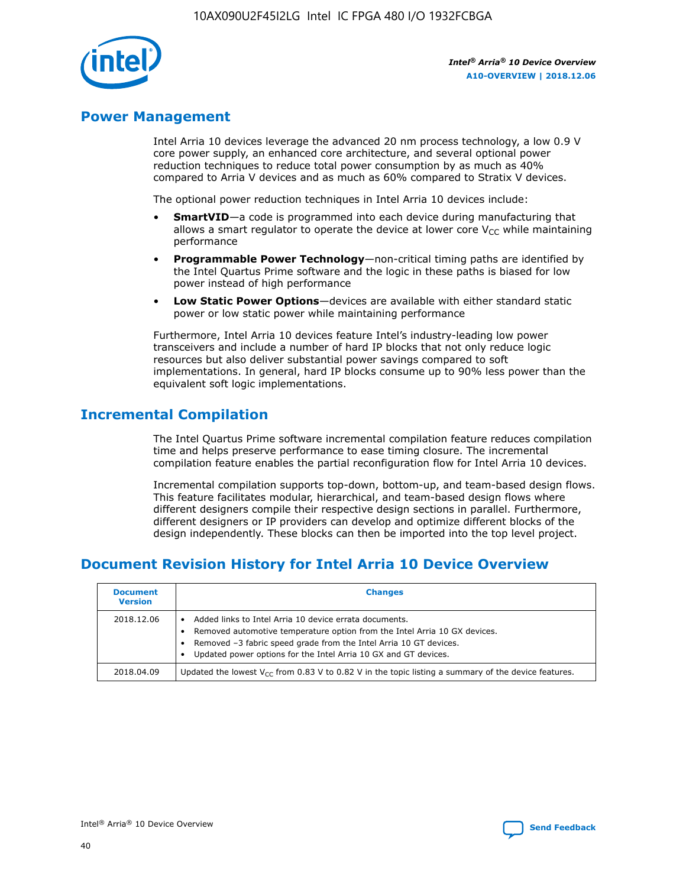

## **Power Management**

Intel Arria 10 devices leverage the advanced 20 nm process technology, a low 0.9 V core power supply, an enhanced core architecture, and several optional power reduction techniques to reduce total power consumption by as much as 40% compared to Arria V devices and as much as 60% compared to Stratix V devices.

The optional power reduction techniques in Intel Arria 10 devices include:

- **SmartVID**—a code is programmed into each device during manufacturing that allows a smart regulator to operate the device at lower core  $V_{CC}$  while maintaining performance
- **Programmable Power Technology**—non-critical timing paths are identified by the Intel Quartus Prime software and the logic in these paths is biased for low power instead of high performance
- **Low Static Power Options**—devices are available with either standard static power or low static power while maintaining performance

Furthermore, Intel Arria 10 devices feature Intel's industry-leading low power transceivers and include a number of hard IP blocks that not only reduce logic resources but also deliver substantial power savings compared to soft implementations. In general, hard IP blocks consume up to 90% less power than the equivalent soft logic implementations.

## **Incremental Compilation**

The Intel Quartus Prime software incremental compilation feature reduces compilation time and helps preserve performance to ease timing closure. The incremental compilation feature enables the partial reconfiguration flow for Intel Arria 10 devices.

Incremental compilation supports top-down, bottom-up, and team-based design flows. This feature facilitates modular, hierarchical, and team-based design flows where different designers compile their respective design sections in parallel. Furthermore, different designers or IP providers can develop and optimize different blocks of the design independently. These blocks can then be imported into the top level project.

## **Document Revision History for Intel Arria 10 Device Overview**

| <b>Document</b><br><b>Version</b> | <b>Changes</b>                                                                                                                                                                                                                                                              |
|-----------------------------------|-----------------------------------------------------------------------------------------------------------------------------------------------------------------------------------------------------------------------------------------------------------------------------|
| 2018.12.06                        | Added links to Intel Arria 10 device errata documents.<br>Removed automotive temperature option from the Intel Arria 10 GX devices.<br>Removed -3 fabric speed grade from the Intel Arria 10 GT devices.<br>Updated power options for the Intel Arria 10 GX and GT devices. |
| 2018.04.09                        | Updated the lowest $V_{CC}$ from 0.83 V to 0.82 V in the topic listing a summary of the device features.                                                                                                                                                                    |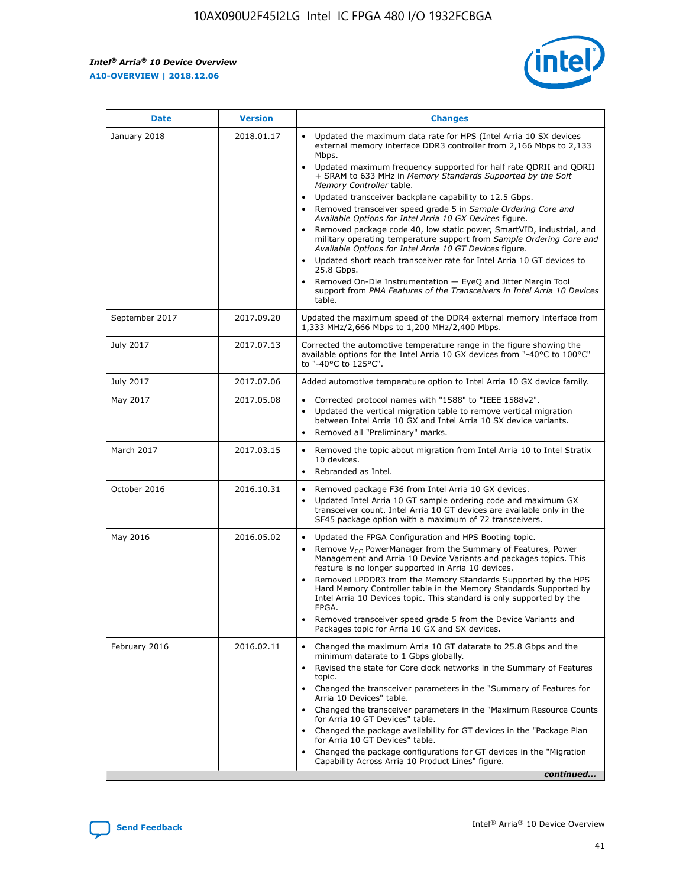

| <b>Date</b>    | <b>Version</b> | <b>Changes</b>                                                                                                                                                                                                                                                                                                                                                                                                                                                                                                                                                                                                                                                                                                                                                                                                                                                                                                                                               |
|----------------|----------------|--------------------------------------------------------------------------------------------------------------------------------------------------------------------------------------------------------------------------------------------------------------------------------------------------------------------------------------------------------------------------------------------------------------------------------------------------------------------------------------------------------------------------------------------------------------------------------------------------------------------------------------------------------------------------------------------------------------------------------------------------------------------------------------------------------------------------------------------------------------------------------------------------------------------------------------------------------------|
| January 2018   | 2018.01.17     | Updated the maximum data rate for HPS (Intel Arria 10 SX devices<br>external memory interface DDR3 controller from 2,166 Mbps to 2,133<br>Mbps.<br>Updated maximum frequency supported for half rate QDRII and QDRII<br>+ SRAM to 633 MHz in Memory Standards Supported by the Soft<br>Memory Controller table.<br>Updated transceiver backplane capability to 12.5 Gbps.<br>Removed transceiver speed grade 5 in Sample Ordering Core and<br>Available Options for Intel Arria 10 GX Devices figure.<br>Removed package code 40, low static power, SmartVID, industrial, and<br>military operating temperature support from Sample Ordering Core and<br>Available Options for Intel Arria 10 GT Devices figure.<br>Updated short reach transceiver rate for Intel Arria 10 GT devices to<br>25.8 Gbps.<br>Removed On-Die Instrumentation - EyeQ and Jitter Margin Tool<br>support from PMA Features of the Transceivers in Intel Arria 10 Devices<br>table. |
| September 2017 | 2017.09.20     | Updated the maximum speed of the DDR4 external memory interface from<br>1,333 MHz/2,666 Mbps to 1,200 MHz/2,400 Mbps.                                                                                                                                                                                                                                                                                                                                                                                                                                                                                                                                                                                                                                                                                                                                                                                                                                        |
| July 2017      | 2017.07.13     | Corrected the automotive temperature range in the figure showing the<br>available options for the Intel Arria 10 GX devices from "-40°C to 100°C"<br>to "-40°C to 125°C".                                                                                                                                                                                                                                                                                                                                                                                                                                                                                                                                                                                                                                                                                                                                                                                    |
| July 2017      | 2017.07.06     | Added automotive temperature option to Intel Arria 10 GX device family.                                                                                                                                                                                                                                                                                                                                                                                                                                                                                                                                                                                                                                                                                                                                                                                                                                                                                      |
| May 2017       | 2017.05.08     | Corrected protocol names with "1588" to "IEEE 1588v2".<br>Updated the vertical migration table to remove vertical migration<br>$\bullet$<br>between Intel Arria 10 GX and Intel Arria 10 SX device variants.<br>Removed all "Preliminary" marks.                                                                                                                                                                                                                                                                                                                                                                                                                                                                                                                                                                                                                                                                                                             |
| March 2017     | 2017.03.15     | Removed the topic about migration from Intel Arria 10 to Intel Stratix<br>10 devices.<br>Rebranded as Intel.<br>$\bullet$                                                                                                                                                                                                                                                                                                                                                                                                                                                                                                                                                                                                                                                                                                                                                                                                                                    |
| October 2016   | 2016.10.31     | Removed package F36 from Intel Arria 10 GX devices.<br>Updated Intel Arria 10 GT sample ordering code and maximum GX<br>$\bullet$<br>transceiver count. Intel Arria 10 GT devices are available only in the<br>SF45 package option with a maximum of 72 transceivers.                                                                                                                                                                                                                                                                                                                                                                                                                                                                                                                                                                                                                                                                                        |
| May 2016       | 2016.05.02     | Updated the FPGA Configuration and HPS Booting topic.<br>$\bullet$<br>Remove V <sub>CC</sub> PowerManager from the Summary of Features, Power<br>Management and Arria 10 Device Variants and packages topics. This<br>feature is no longer supported in Arria 10 devices.<br>Removed LPDDR3 from the Memory Standards Supported by the HPS<br>Hard Memory Controller table in the Memory Standards Supported by<br>Intel Arria 10 Devices topic. This standard is only supported by the<br>FPGA.<br>Removed transceiver speed grade 5 from the Device Variants and<br>Packages topic for Arria 10 GX and SX devices.                                                                                                                                                                                                                                                                                                                                         |
| February 2016  | 2016.02.11     | Changed the maximum Arria 10 GT datarate to 25.8 Gbps and the<br>minimum datarate to 1 Gbps globally.<br>Revised the state for Core clock networks in the Summary of Features<br>topic.<br>Changed the transceiver parameters in the "Summary of Features for<br>Arria 10 Devices" table.<br>Changed the transceiver parameters in the "Maximum Resource Counts"<br>for Arria 10 GT Devices" table.<br>Changed the package availability for GT devices in the "Package Plan<br>for Arria 10 GT Devices" table.<br>Changed the package configurations for GT devices in the "Migration"<br>Capability Across Arria 10 Product Lines" figure.<br>continued                                                                                                                                                                                                                                                                                                     |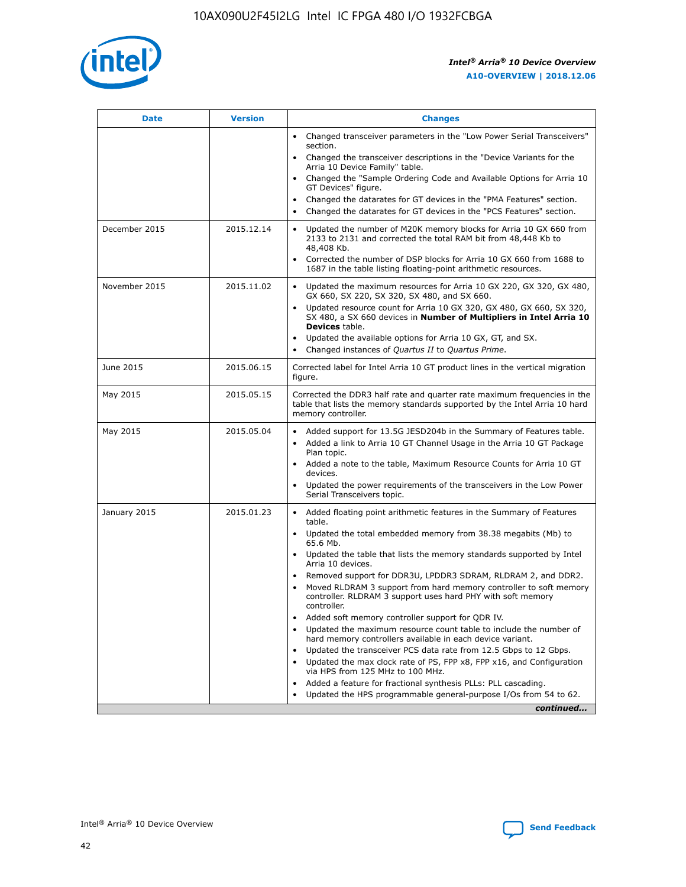

| <b>Date</b>   | <b>Version</b> | <b>Changes</b>                                                                                                                                                               |
|---------------|----------------|------------------------------------------------------------------------------------------------------------------------------------------------------------------------------|
|               |                | • Changed transceiver parameters in the "Low Power Serial Transceivers"<br>section.                                                                                          |
|               |                | • Changed the transceiver descriptions in the "Device Variants for the<br>Arria 10 Device Family" table.                                                                     |
|               |                | Changed the "Sample Ordering Code and Available Options for Arria 10<br>$\bullet$<br>GT Devices" figure.                                                                     |
|               |                | Changed the datarates for GT devices in the "PMA Features" section.                                                                                                          |
|               |                | Changed the datarates for GT devices in the "PCS Features" section.<br>$\bullet$                                                                                             |
| December 2015 | 2015.12.14     | Updated the number of M20K memory blocks for Arria 10 GX 660 from<br>2133 to 2131 and corrected the total RAM bit from 48,448 Kb to<br>48,408 Kb.                            |
|               |                | Corrected the number of DSP blocks for Arria 10 GX 660 from 1688 to<br>1687 in the table listing floating-point arithmetic resources.                                        |
| November 2015 | 2015.11.02     | Updated the maximum resources for Arria 10 GX 220, GX 320, GX 480,<br>$\bullet$<br>GX 660, SX 220, SX 320, SX 480, and SX 660.                                               |
|               |                | Updated resource count for Arria 10 GX 320, GX 480, GX 660, SX 320,<br>SX 480, a SX 660 devices in Number of Multipliers in Intel Arria 10<br><b>Devices</b> table.          |
|               |                | Updated the available options for Arria 10 GX, GT, and SX.                                                                                                                   |
|               |                | Changed instances of Quartus II to Quartus Prime.                                                                                                                            |
| June 2015     | 2015.06.15     | Corrected label for Intel Arria 10 GT product lines in the vertical migration<br>figure.                                                                                     |
| May 2015      | 2015.05.15     | Corrected the DDR3 half rate and quarter rate maximum frequencies in the<br>table that lists the memory standards supported by the Intel Arria 10 hard<br>memory controller. |
| May 2015      | 2015.05.04     | Added support for 13.5G JESD204b in the Summary of Features table.<br>$\bullet$<br>Added a link to Arria 10 GT Channel Usage in the Arria 10 GT Package<br>$\bullet$         |
|               |                | Plan topic.                                                                                                                                                                  |
|               |                | • Added a note to the table, Maximum Resource Counts for Arria 10 GT<br>devices.                                                                                             |
|               |                | Updated the power requirements of the transceivers in the Low Power<br>Serial Transceivers topic.                                                                            |
| January 2015  | 2015.01.23     | • Added floating point arithmetic features in the Summary of Features<br>table.                                                                                              |
|               |                | Updated the total embedded memory from 38.38 megabits (Mb) to<br>$\bullet$<br>65.6 Mb.                                                                                       |
|               |                | • Updated the table that lists the memory standards supported by Intel<br>Arria 10 devices.                                                                                  |
|               |                | Removed support for DDR3U, LPDDR3 SDRAM, RLDRAM 2, and DDR2.                                                                                                                 |
|               |                | Moved RLDRAM 3 support from hard memory controller to soft memory<br>controller. RLDRAM 3 support uses hard PHY with soft memory<br>controller.                              |
|               |                | Added soft memory controller support for QDR IV.<br>$\bullet$                                                                                                                |
|               |                | Updated the maximum resource count table to include the number of<br>hard memory controllers available in each device variant.                                               |
|               |                | Updated the transceiver PCS data rate from 12.5 Gbps to 12 Gbps.<br>$\bullet$                                                                                                |
|               |                | Updated the max clock rate of PS, FPP x8, FPP x16, and Configuration<br>via HPS from 125 MHz to 100 MHz.                                                                     |
|               |                | Added a feature for fractional synthesis PLLs: PLL cascading.                                                                                                                |
|               |                | Updated the HPS programmable general-purpose I/Os from 54 to 62.                                                                                                             |
|               |                | continued                                                                                                                                                                    |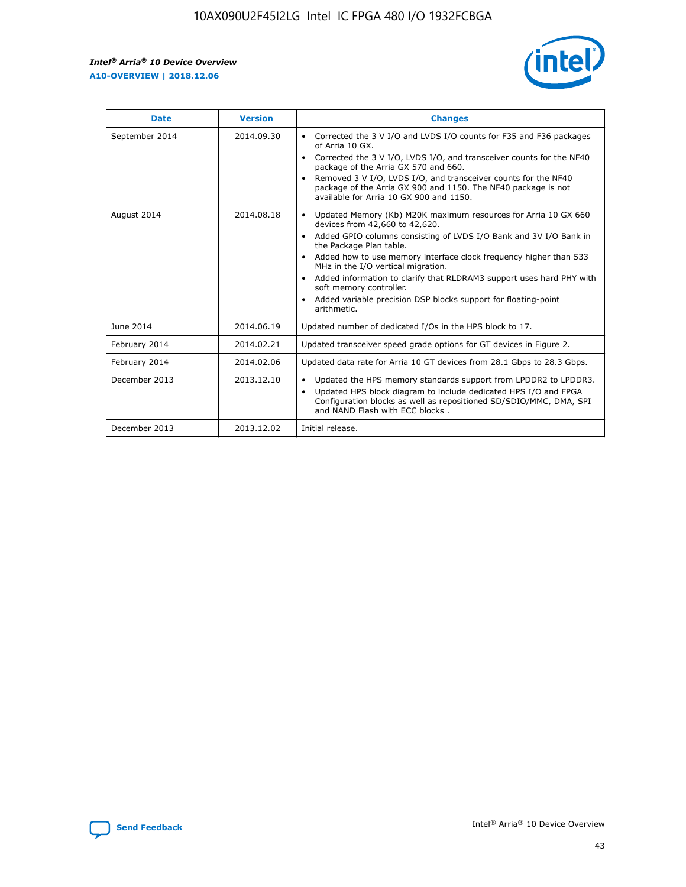r



| <b>Date</b>    | <b>Version</b> | <b>Changes</b>                                                                                                                                                                                                                                                                                                                                                                                                                                                                                                                                      |
|----------------|----------------|-----------------------------------------------------------------------------------------------------------------------------------------------------------------------------------------------------------------------------------------------------------------------------------------------------------------------------------------------------------------------------------------------------------------------------------------------------------------------------------------------------------------------------------------------------|
| September 2014 | 2014.09.30     | Corrected the 3 V I/O and LVDS I/O counts for F35 and F36 packages<br>$\bullet$<br>of Arria 10 GX.<br>Corrected the 3 V I/O, LVDS I/O, and transceiver counts for the NF40<br>$\bullet$<br>package of the Arria GX 570 and 660.<br>Removed 3 V I/O, LVDS I/O, and transceiver counts for the NF40<br>package of the Arria GX 900 and 1150. The NF40 package is not<br>available for Arria 10 GX 900 and 1150.                                                                                                                                       |
| August 2014    | 2014.08.18     | Updated Memory (Kb) M20K maximum resources for Arria 10 GX 660<br>devices from 42,660 to 42,620.<br>Added GPIO columns consisting of LVDS I/O Bank and 3V I/O Bank in<br>$\bullet$<br>the Package Plan table.<br>Added how to use memory interface clock frequency higher than 533<br>$\bullet$<br>MHz in the I/O vertical migration.<br>Added information to clarify that RLDRAM3 support uses hard PHY with<br>$\bullet$<br>soft memory controller.<br>Added variable precision DSP blocks support for floating-point<br>$\bullet$<br>arithmetic. |
| June 2014      | 2014.06.19     | Updated number of dedicated I/Os in the HPS block to 17.                                                                                                                                                                                                                                                                                                                                                                                                                                                                                            |
| February 2014  | 2014.02.21     | Updated transceiver speed grade options for GT devices in Figure 2.                                                                                                                                                                                                                                                                                                                                                                                                                                                                                 |
| February 2014  | 2014.02.06     | Updated data rate for Arria 10 GT devices from 28.1 Gbps to 28.3 Gbps.                                                                                                                                                                                                                                                                                                                                                                                                                                                                              |
| December 2013  | 2013.12.10     | Updated the HPS memory standards support from LPDDR2 to LPDDR3.<br>Updated HPS block diagram to include dedicated HPS I/O and FPGA<br>$\bullet$<br>Configuration blocks as well as repositioned SD/SDIO/MMC, DMA, SPI<br>and NAND Flash with ECC blocks.                                                                                                                                                                                                                                                                                            |
| December 2013  | 2013.12.02     | Initial release.                                                                                                                                                                                                                                                                                                                                                                                                                                                                                                                                    |